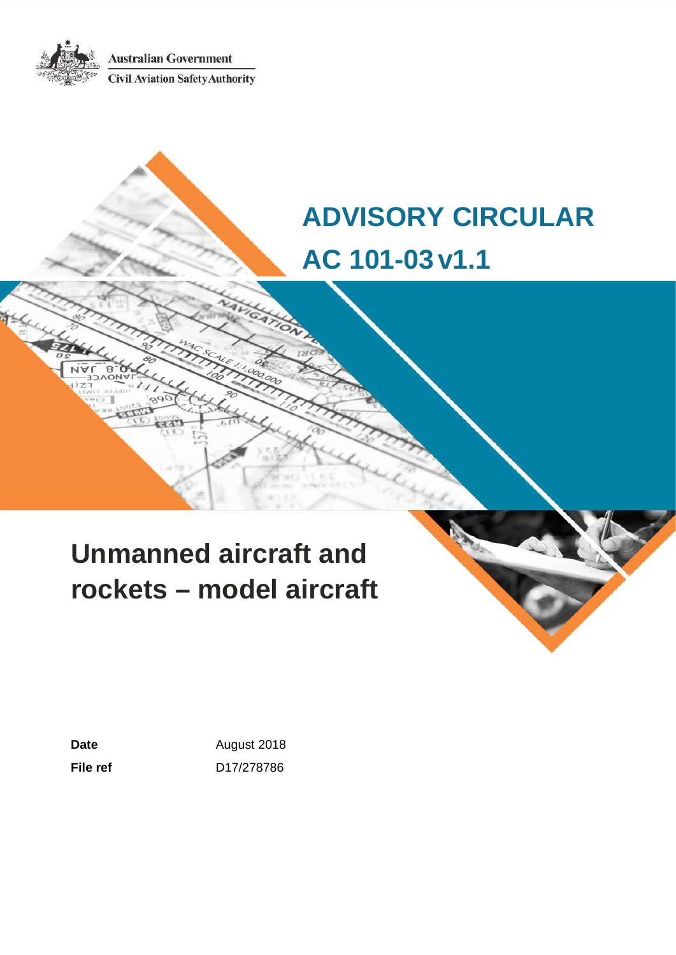**Australian Government Civil Aviation Safety Authority** 

# **ADVISORY CIRCULAR AC 101-03v1.1**

# **Unmanned aircraft and rockets – model aircraft**

Date **Date August 2018 File ref** D17/278786



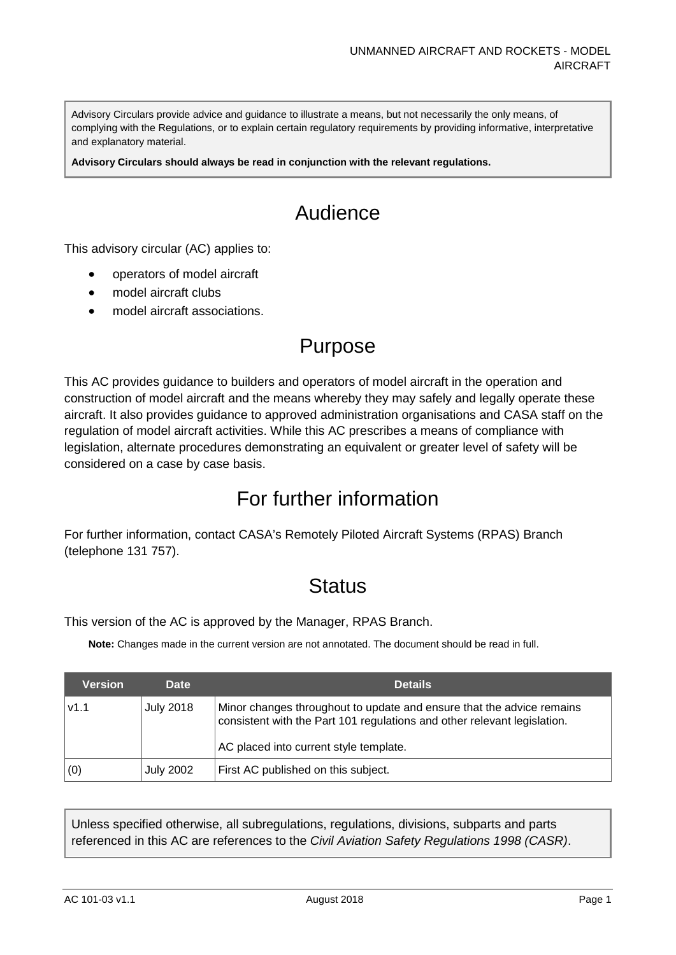Advisory Circulars provide advice and guidance to illustrate a means, but not necessarily the only means, of complying with the Regulations, or to explain certain regulatory requirements by providing informative, interpretative and explanatory material.

**Advisory Circulars should always be read in conjunction with the relevant regulations.**

## Audience

This advisory circular (AC) applies to:

- operators of model aircraft
- model aircraft clubs
- model aircraft associations.

## Purpose

This AC provides guidance to builders and operators of model aircraft in the operation and construction of model aircraft and the means whereby they may safely and legally operate these aircraft. It also provides guidance to approved administration organisations and CASA staff on the regulation of model aircraft activities. While this AC prescribes a means of compliance with legislation, alternate procedures demonstrating an equivalent or greater level of safety will be considered on a case by case basis.

## For further information

For further information, contact CASA's Remotely Piloted Aircraft Systems (RPAS) Branch (telephone 131 757).

## **Status**

This version of the AC is approved by the Manager, RPAS Branch.

**Note:** Changes made in the current version are not annotated. The document should be read in full.

| <b>Version</b> | <b>Date</b>      | <b>Details</b>                                                                                                                                    |  |  |
|----------------|------------------|---------------------------------------------------------------------------------------------------------------------------------------------------|--|--|
| V1.1           | <b>July 2018</b> | Minor changes throughout to update and ensure that the advice remains<br>consistent with the Part 101 regulations and other relevant legislation. |  |  |
|                |                  | AC placed into current style template.                                                                                                            |  |  |
| (0)            | <b>July 2002</b> | First AC published on this subject.                                                                                                               |  |  |

Unless specified otherwise, all subregulations, regulations, divisions, subparts and parts referenced in this AC are references to the *Civil Aviation Safety Regulations 1998 (CASR)*.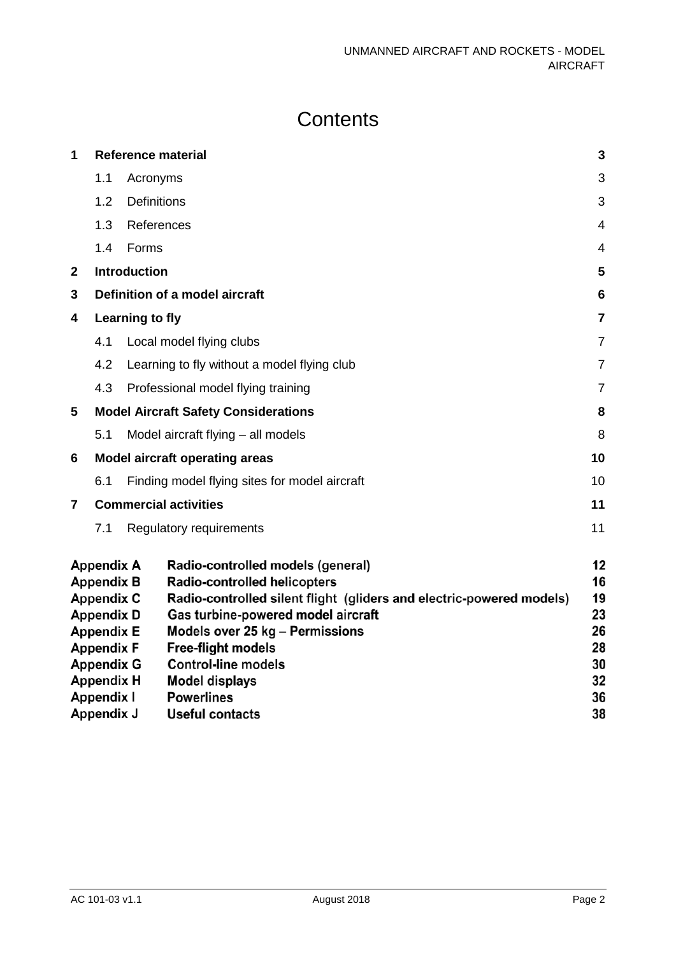# **Contents**

| 1                                                                                                                                                    |                                                   |                     | <b>Reference material</b>                     | $\mathbf{3}$   |
|------------------------------------------------------------------------------------------------------------------------------------------------------|---------------------------------------------------|---------------------|-----------------------------------------------|----------------|
|                                                                                                                                                      | 1.1                                               | Acronyms            |                                               | 3              |
|                                                                                                                                                      | 1.2                                               | <b>Definitions</b>  |                                               | 3              |
|                                                                                                                                                      | 1.3                                               | References          |                                               | $\overline{4}$ |
|                                                                                                                                                      | 1.4                                               | Forms               |                                               | $\overline{4}$ |
| $\mathbf{2}$                                                                                                                                         |                                                   | <b>Introduction</b> |                                               | 5              |
| 3                                                                                                                                                    |                                                   |                     | Definition of a model aircraft                | 6              |
| 4                                                                                                                                                    |                                                   | Learning to fly     |                                               | $\overline{7}$ |
|                                                                                                                                                      | 4.1                                               |                     | Local model flying clubs                      | $\overline{7}$ |
|                                                                                                                                                      | 4.2                                               |                     | Learning to fly without a model flying club   | $\overline{7}$ |
|                                                                                                                                                      | 4.3                                               |                     | Professional model flying training            | $\overline{7}$ |
| 5                                                                                                                                                    |                                                   |                     | <b>Model Aircraft Safety Considerations</b>   | 8              |
|                                                                                                                                                      | 5.1                                               |                     | Model aircraft flying - all models            | 8              |
| 6                                                                                                                                                    |                                                   |                     | <b>Model aircraft operating areas</b>         | 10             |
|                                                                                                                                                      | 6.1                                               |                     | Finding model flying sites for model aircraft | 10             |
| $\overline{7}$                                                                                                                                       |                                                   |                     | <b>Commercial activities</b>                  | 11             |
|                                                                                                                                                      | 7.1                                               |                     | Regulatory requirements                       | 11             |
| <b>Appendix A</b><br>Radio-controlled models (general)<br><b>Appendix B</b><br>Radio-controlled helicopters                                          |                                                   |                     |                                               | 12<br>16       |
| <b>Appendix C</b><br>Radio-controlled silent flight (gliders and electric-powered models)<br>Gas turbine-powered model aircraft<br><b>Appendix D</b> |                                                   |                     |                                               | 19<br>23       |
| <b>Appendix E</b><br>Models over 25 kg - Permissions                                                                                                 |                                                   |                     |                                               | 26             |
| <b>Appendix F</b><br><b>Free-flight models</b>                                                                                                       |                                                   |                     | 28                                            |                |
|                                                                                                                                                      | <b>Appendix G</b>                                 |                     | <b>Control-line models</b>                    | 30             |
|                                                                                                                                                      | <b>Appendix H</b>                                 |                     | <b>Model displays</b>                         | 32             |
|                                                                                                                                                      | <b>Appendix I</b>                                 |                     | <b>Powerlines</b>                             | 36             |
|                                                                                                                                                      | 38<br><b>Appendix J</b><br><b>Useful contacts</b> |                     |                                               |                |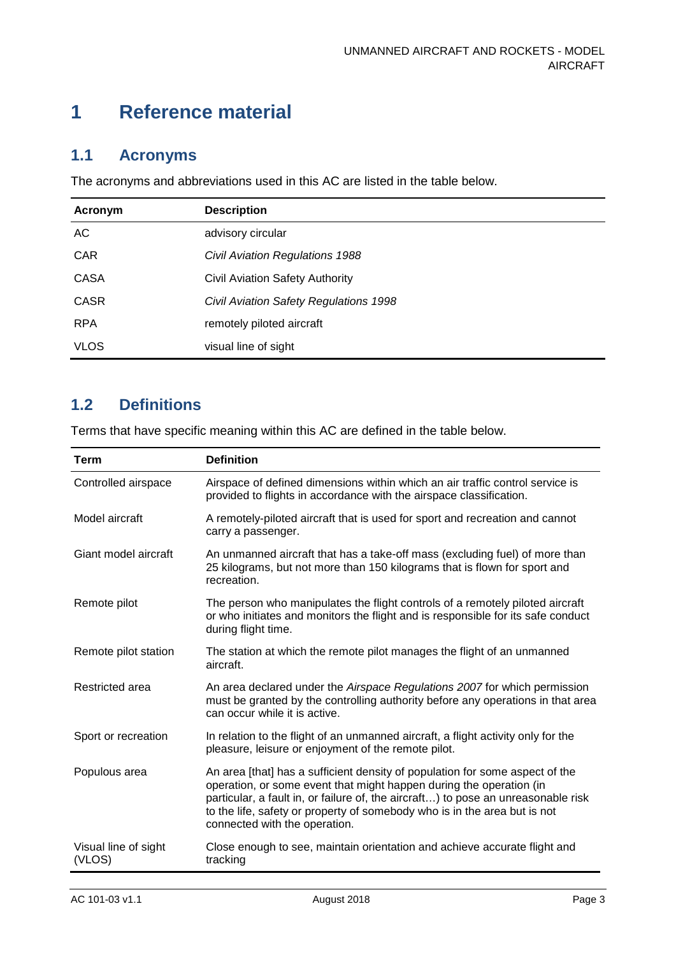## <span id="page-3-0"></span>**1 Reference material**

### <span id="page-3-1"></span>**1.1 Acronyms**

The acronyms and abbreviations used in this AC are listed in the table below.

| Acronym     | <b>Description</b>                     |
|-------------|----------------------------------------|
| <b>AC</b>   | advisory circular                      |
| <b>CAR</b>  | Civil Aviation Regulations 1988        |
| <b>CASA</b> | Civil Aviation Safety Authority        |
| <b>CASR</b> | Civil Aviation Safety Regulations 1998 |
| <b>RPA</b>  | remotely piloted aircraft              |
| <b>VLOS</b> | visual line of sight                   |

### <span id="page-3-2"></span>**1.2 Definitions**

Terms that have specific meaning within this AC are defined in the table below.

| <b>Term</b>                    | <b>Definition</b>                                                                                                                                                                                                                                                                                                                                      |
|--------------------------------|--------------------------------------------------------------------------------------------------------------------------------------------------------------------------------------------------------------------------------------------------------------------------------------------------------------------------------------------------------|
| Controlled airspace            | Airspace of defined dimensions within which an air traffic control service is<br>provided to flights in accordance with the airspace classification.                                                                                                                                                                                                   |
| Model aircraft                 | A remotely-piloted aircraft that is used for sport and recreation and cannot<br>carry a passenger.                                                                                                                                                                                                                                                     |
| Giant model aircraft           | An unmanned aircraft that has a take-off mass (excluding fuel) of more than<br>25 kilograms, but not more than 150 kilograms that is flown for sport and<br>recreation.                                                                                                                                                                                |
| Remote pilot                   | The person who manipulates the flight controls of a remotely piloted aircraft<br>or who initiates and monitors the flight and is responsible for its safe conduct<br>during flight time.                                                                                                                                                               |
| Remote pilot station           | The station at which the remote pilot manages the flight of an unmanned<br>aircraft.                                                                                                                                                                                                                                                                   |
| Restricted area                | An area declared under the Airspace Regulations 2007 for which permission<br>must be granted by the controlling authority before any operations in that area<br>can occur while it is active.                                                                                                                                                          |
| Sport or recreation            | In relation to the flight of an unmanned aircraft, a flight activity only for the<br>pleasure, leisure or enjoyment of the remote pilot.                                                                                                                                                                                                               |
| Populous area                  | An area [that] has a sufficient density of population for some aspect of the<br>operation, or some event that might happen during the operation (in<br>particular, a fault in, or failure of, the aircraft) to pose an unreasonable risk<br>to the life, safety or property of somebody who is in the area but is not<br>connected with the operation. |
| Visual line of sight<br>(VLOS) | Close enough to see, maintain orientation and achieve accurate flight and<br>tracking                                                                                                                                                                                                                                                                  |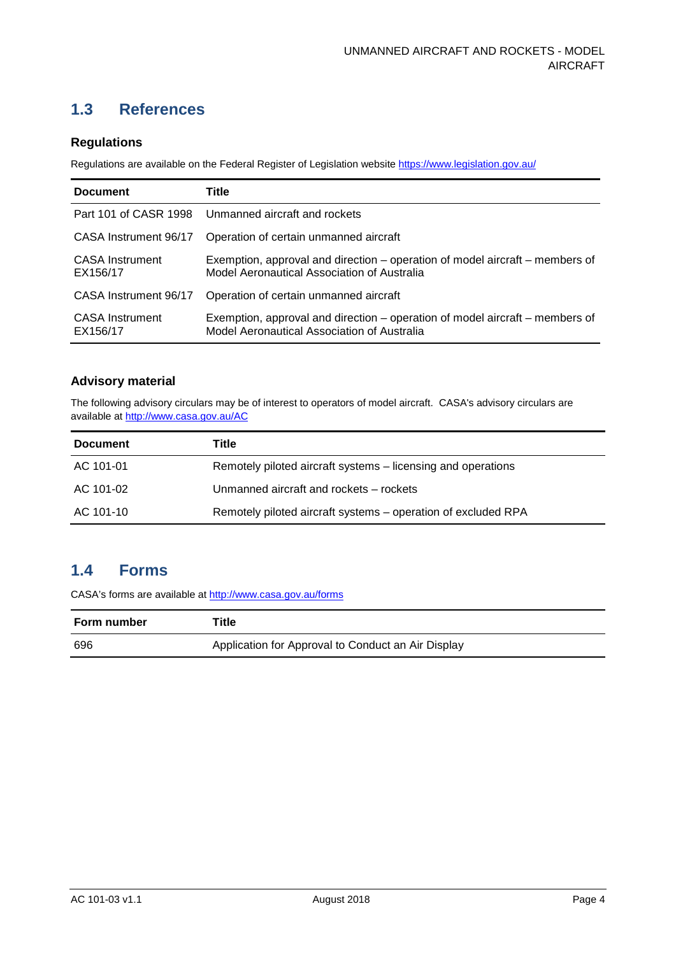## <span id="page-4-0"></span>**1.3 References**

#### **Regulations**

Regulations are available on the Federal Register of Legislation website<https://www.legislation.gov.au/>

| <b>Document</b>                    | Title                                                                                                                       |
|------------------------------------|-----------------------------------------------------------------------------------------------------------------------------|
|                                    | Part 101 of CASR 1998 Unmanned aircraft and rockets                                                                         |
| CASA Instrument 96/17              | Operation of certain unmanned aircraft                                                                                      |
| <b>CASA</b> Instrument<br>EX156/17 | Exemption, approval and direction – operation of model aircraft – members of<br>Model Aeronautical Association of Australia |
| CASA Instrument 96/17              | Operation of certain unmanned aircraft                                                                                      |
| <b>CASA</b> Instrument<br>EX156/17 | Exemption, approval and direction – operation of model aircraft – members of<br>Model Aeronautical Association of Australia |

#### **Advisory material**

The following advisory circulars may be of interest to operators of model aircraft. CASA's advisory circulars are available at [http://www.casa.gov.au/AC](http://www.casa.gov.au/ACs)

| <b>Document</b> | Title                                                         |
|-----------------|---------------------------------------------------------------|
| AC 101-01       | Remotely piloted aircraft systems – licensing and operations  |
| AC 101-02       | Unmanned aircraft and rockets - rockets                       |
| AC 101-10       | Remotely piloted aircraft systems – operation of excluded RPA |

### <span id="page-4-1"></span>**1.4 Forms**

CASA's forms are available a[t http://www.casa.gov.au/forms](http://www.casa.gov.au/forms)

| Form number | Title                                              |
|-------------|----------------------------------------------------|
| 696         | Application for Approval to Conduct an Air Display |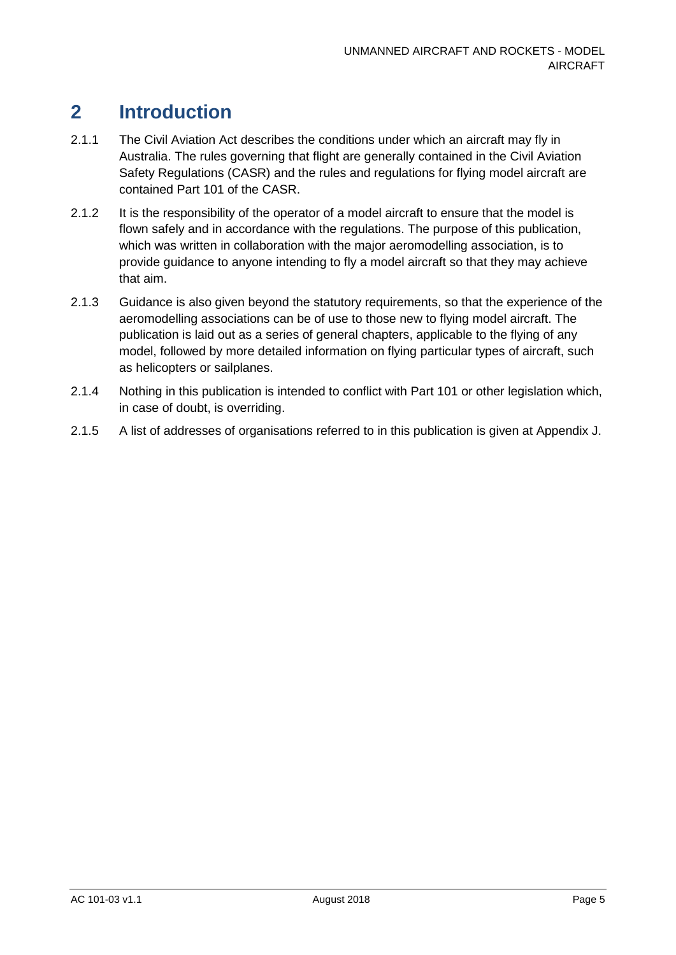## <span id="page-5-0"></span>**2 Introduction**

- 2.1.1 The Civil Aviation Act describes the conditions under which an aircraft may fly in Australia. The rules governing that flight are generally contained in the Civil Aviation Safety Regulations (CASR) and the rules and regulations for flying model aircraft are contained Part 101 of the CASR.
- 2.1.2 It is the responsibility of the operator of a model aircraft to ensure that the model is flown safely and in accordance with the regulations. The purpose of this publication, which was written in collaboration with the major aeromodelling association, is to provide guidance to anyone intending to fly a model aircraft so that they may achieve that aim.
- 2.1.3 Guidance is also given beyond the statutory requirements, so that the experience of the aeromodelling associations can be of use to those new to flying model aircraft. The publication is laid out as a series of general chapters, applicable to the flying of any model, followed by more detailed information on flying particular types of aircraft, such as helicopters or sailplanes.
- 2.1.4 Nothing in this publication is intended to conflict with Part 101 or other legislation which, in case of doubt, is overriding.
- 2.1.5 A list of addresses of organisations referred to in this publication is given at Appendix J.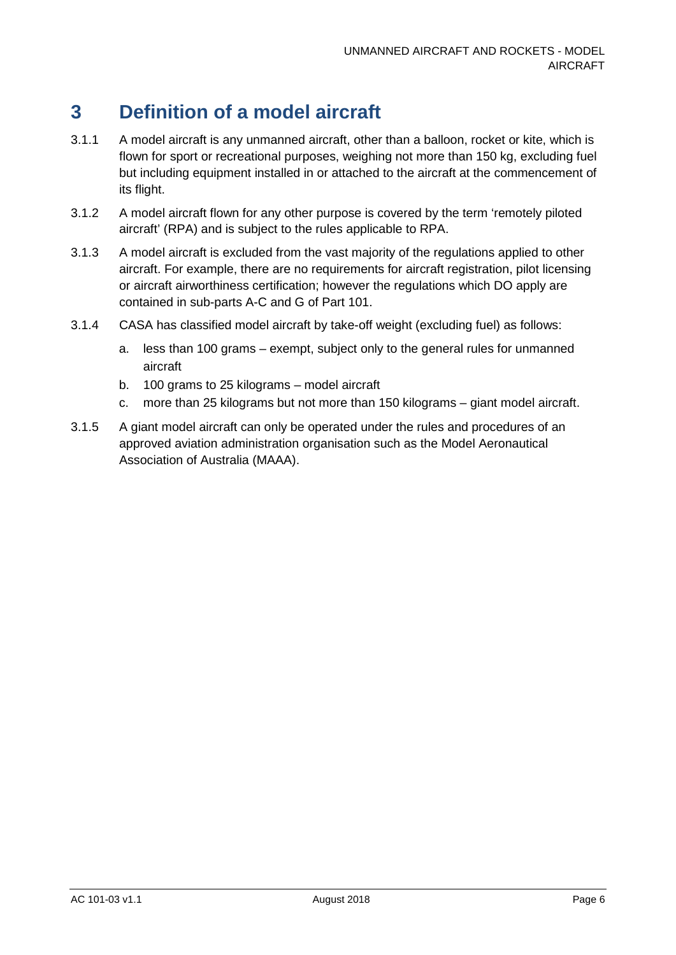## <span id="page-6-0"></span>**3 Definition of a model aircraft**

- 3.1.1 A model aircraft is any unmanned aircraft, other than a balloon, rocket or kite, which is flown for sport or recreational purposes, weighing not more than 150 kg, excluding fuel but including equipment installed in or attached to the aircraft at the commencement of its flight.
- 3.1.2 A model aircraft flown for any other purpose is covered by the term 'remotely piloted aircraft' (RPA) and is subject to the rules applicable to RPA.
- 3.1.3 A model aircraft is excluded from the vast majority of the regulations applied to other aircraft. For example, there are no requirements for aircraft registration, pilot licensing or aircraft airworthiness certification; however the regulations which DO apply are contained in sub-parts A-C and G of Part 101.
- 3.1.4 CASA has classified model aircraft by take-off weight (excluding fuel) as follows:
	- a. less than 100 grams exempt, subject only to the general rules for unmanned aircraft
	- b. 100 grams to 25 kilograms model aircraft
	- c. more than 25 kilograms but not more than 150 kilograms giant model aircraft.
- 3.1.5 A giant model aircraft can only be operated under the rules and procedures of an approved aviation administration organisation such as the Model Aeronautical Association of Australia (MAAA).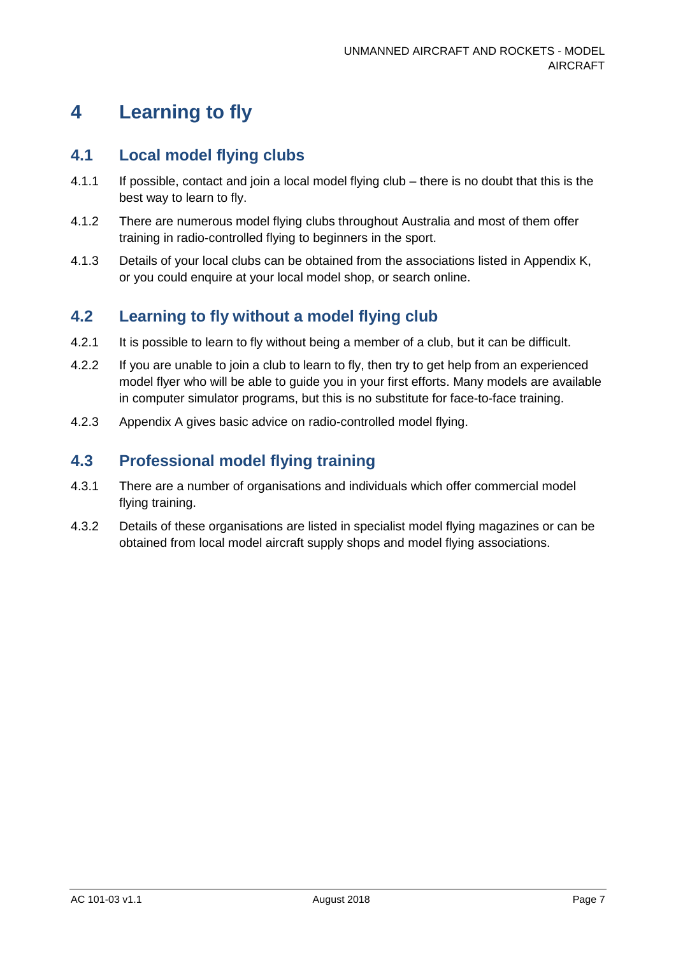## <span id="page-7-0"></span>**4 Learning to fly**

### <span id="page-7-1"></span>**4.1 Local model flying clubs**

- 4.1.1 If possible, contact and join a local model flying club there is no doubt that this is the best way to learn to fly.
- 4.1.2 There are numerous model flying clubs throughout Australia and most of them offer training in radio-controlled flying to beginners in the sport.
- 4.1.3 Details of your local clubs can be obtained from the associations listed in Appendix K, or you could enquire at your local model shop, or search online.

### <span id="page-7-2"></span>**4.2 Learning to fly without a model flying club**

- 4.2.1 It is possible to learn to fly without being a member of a club, but it can be difficult.
- 4.2.2 If you are unable to join a club to learn to fly, then try to get help from an experienced model flyer who will be able to guide you in your first efforts. Many models are available in computer simulator programs, but this is no substitute for face-to-face training.
- 4.2.3 Appendix A gives basic advice on radio-controlled model flying.

### <span id="page-7-3"></span>**4.3 Professional model flying training**

- 4.3.1 There are a number of organisations and individuals which offer commercial model flying training.
- 4.3.2 Details of these organisations are listed in specialist model flying magazines or can be obtained from local model aircraft supply shops and model flying associations.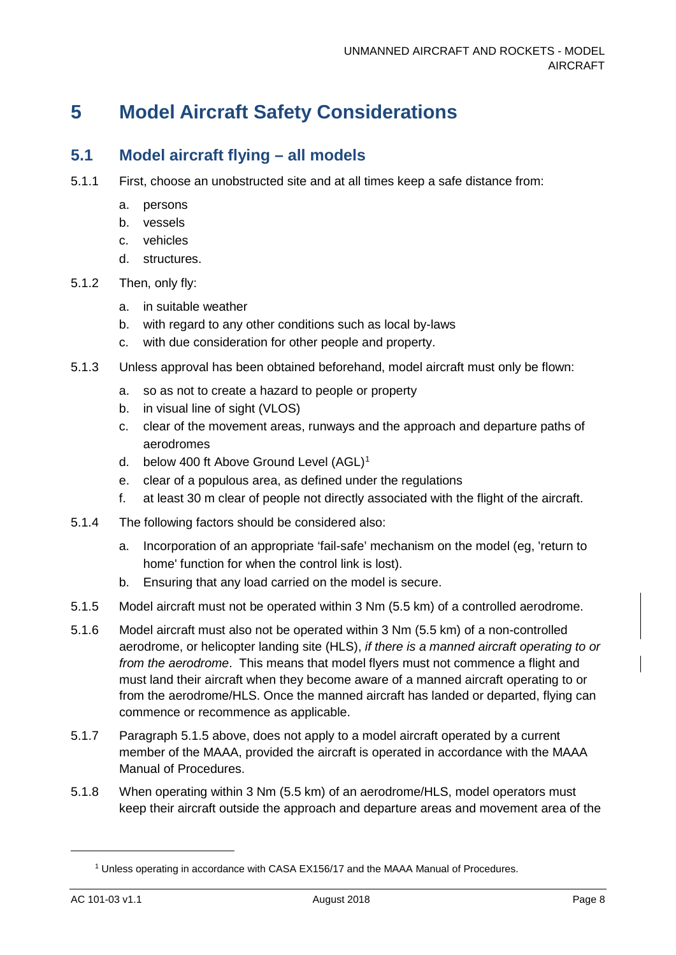## <span id="page-8-0"></span>**5 Model Aircraft Safety Considerations**

### <span id="page-8-1"></span>**5.1 Model aircraft flying – all models**

- 5.1.1 First, choose an unobstructed site and at all times keep a safe distance from:
	- a. persons
	- b. vessels
	- c. vehicles
	- d. structures.
- 5.1.2 Then, only fly:
	- a. in suitable weather
	- b. with regard to any other conditions such as local by-laws
	- c. with due consideration for other people and property.
- 5.1.3 Unless approval has been obtained beforehand, model aircraft must only be flown:
	- a. so as not to create a hazard to people or property
	- b. in visual line of sight (VLOS)
	- c. clear of the movement areas, runways and the approach and departure paths of aerodromes
	- d. below 400 ft Above Ground Level (AGL)<sup>[1](#page-8-2)</sup>
	- e. clear of a populous area, as defined under the regulations
	- f. at least 30 m clear of people not directly associated with the flight of the aircraft.
- 5.1.4 The following factors should be considered also:
	- a. Incorporation of an appropriate 'fail-safe' mechanism on the model (eg, 'return to home' function for when the control link is lost).
	- b. Ensuring that any load carried on the model is secure.
- 5.1.5 Model aircraft must not be operated within 3 Nm (5.5 km) of a controlled aerodrome.
- 5.1.6 Model aircraft must also not be operated within 3 Nm (5.5 km) of a non-controlled aerodrome, or helicopter landing site (HLS), *if there is a manned aircraft operating to or from the aerodrome*. This means that model flyers must not commence a flight and must land their aircraft when they become aware of a manned aircraft operating to or from the aerodrome/HLS. Once the manned aircraft has landed or departed, flying can commence or recommence as applicable.
- 5.1.7 Paragraph 5.1.5 above, does not apply to a model aircraft operated by a current member of the MAAA, provided the aircraft is operated in accordance with the MAAA Manual of Procedures.
- 5.1.8 When operating within 3 Nm (5.5 km) of an aerodrome/HLS, model operators must keep their aircraft outside the approach and departure areas and movement area of the

<span id="page-8-2"></span>j

<sup>1</sup> Unless operating in accordance with CASA EX156/17 and the MAAA Manual of Procedures.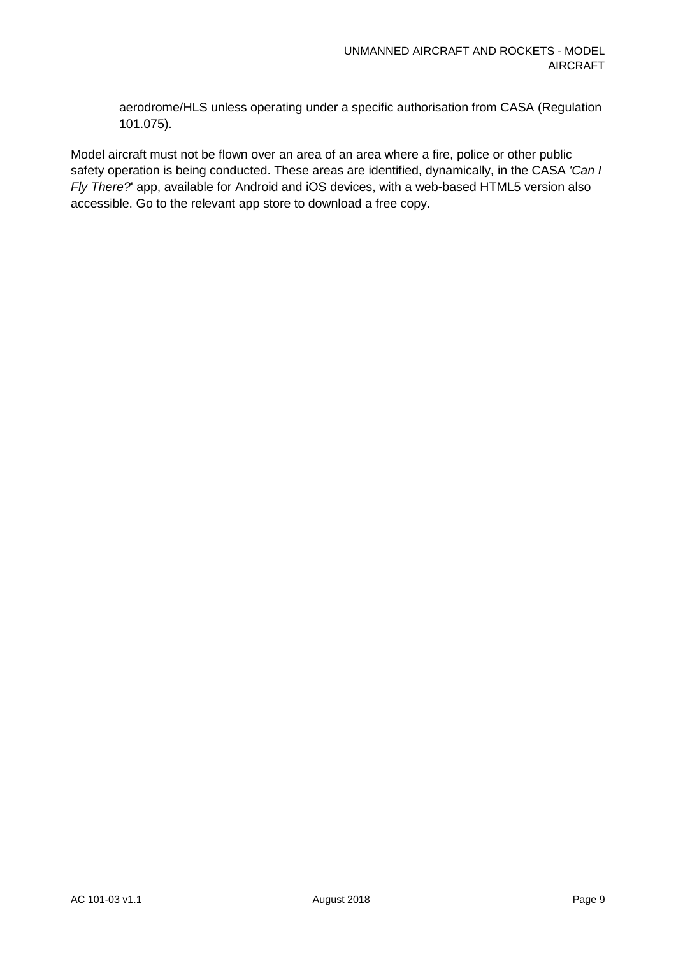aerodrome/HLS unless operating under a specific authorisation from CASA (Regulation 101.075).

Model aircraft must not be flown over an area of an area where a fire, police or other public safety operation is being conducted. These areas are identified, dynamically, in the CASA *'Can I Fly There?*' app, available for Android and iOS devices, with a web-based HTML5 version also accessible. Go to the relevant app store to download a free copy.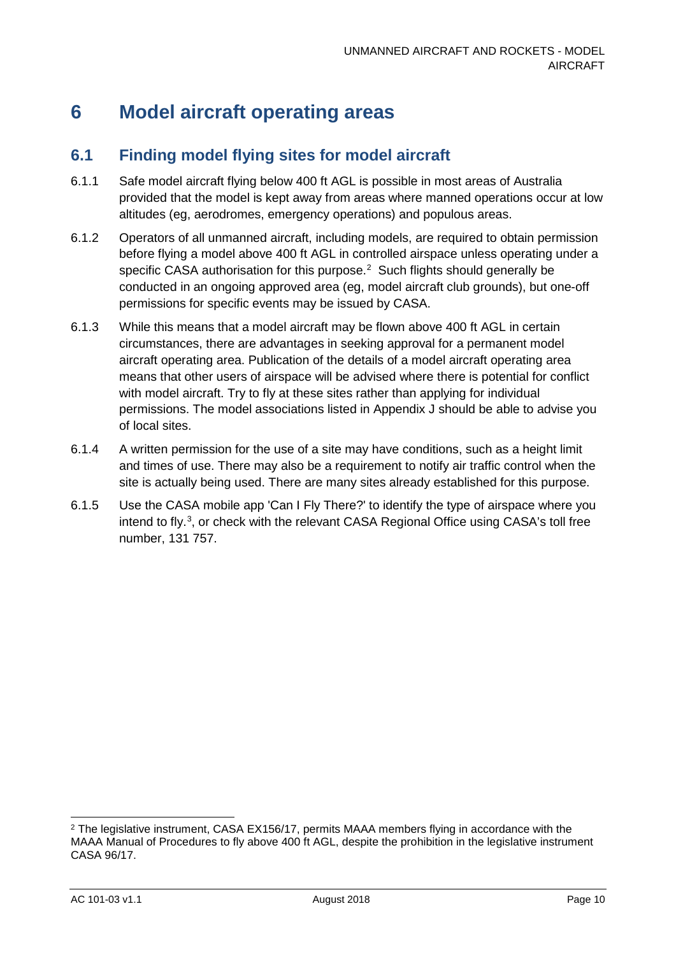## <span id="page-10-0"></span>**6 Model aircraft operating areas**

### <span id="page-10-1"></span>**6.1 Finding model flying sites for model aircraft**

- 6.1.1 Safe model aircraft flying below 400 ft AGL is possible in most areas of Australia provided that the model is kept away from areas where manned operations occur at low altitudes (eg, aerodromes, emergency operations) and populous areas.
- 6.1.2 Operators of all unmanned aircraft, including models, are required to obtain permission before flying a model above 400 ft AGL in controlled airspace unless operating under a specific CASA authorisation for this purpose. $2$  Such flights should generally be conducted in an ongoing approved area (eg, model aircraft club grounds), but one-off permissions for specific events may be issued by CASA.
- 6.1.3 While this means that a model aircraft may be flown above 400 ft AGL in certain circumstances, there are advantages in seeking approval for a permanent model aircraft operating area. Publication of the details of a model aircraft operating area means that other users of airspace will be advised where there is potential for conflict with model aircraft. Try to fly at these sites rather than applying for individual permissions. The model associations listed in Appendix J should be able to advise you of local sites.
- 6.1.4 A written permission for the use of a site may have conditions, such as a height limit and times of use. There may also be a requirement to notify air traffic control when the site is actually being used. There are many sites already established for this purpose.
- 6.1.5 Use the CASA mobile app 'Can I Fly There?' to identify the type of airspace where you intend to fly.<sup>[3](#page-10-3)</sup>, or check with the relevant CASA Regional Office using CASA's toll free number, 131 757.

<span id="page-10-3"></span><span id="page-10-2"></span><sup>&</sup>lt;sup>2</sup> The legislative instrument, CASA EX156/17, permits MAAA members flying in accordance with the MAAA Manual of Procedures to fly above 400 ft AGL, despite the prohibition in the legislative instrument CASA 96/17.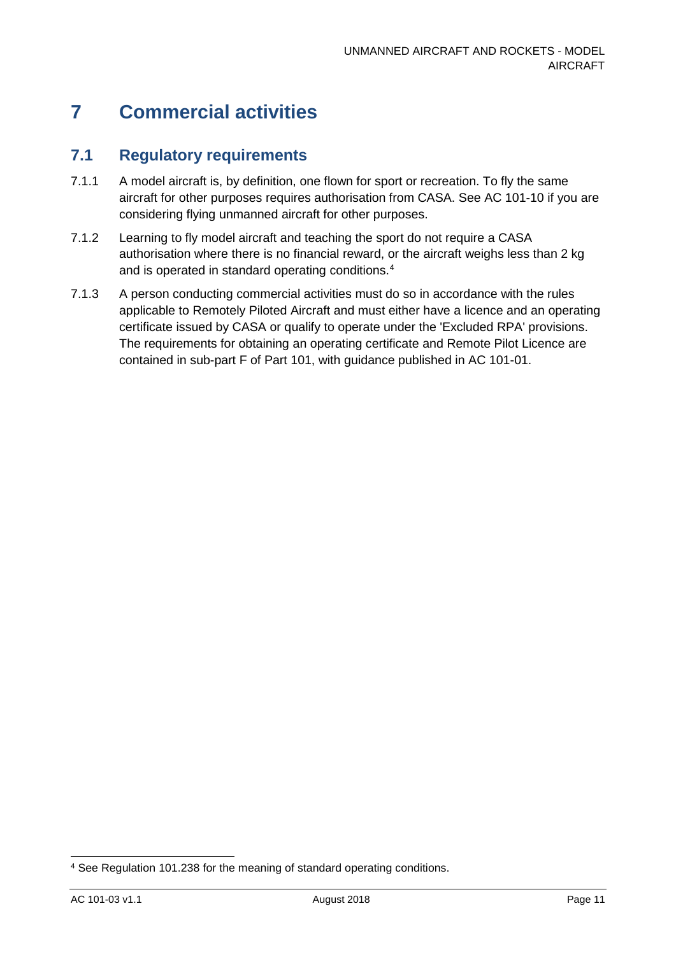## <span id="page-11-0"></span>**7 Commercial activities**

### <span id="page-11-1"></span>**7.1 Regulatory requirements**

- 7.1.1 A model aircraft is, by definition, one flown for sport or recreation. To fly the same aircraft for other purposes requires authorisation from CASA. See AC 101-10 if you are considering flying unmanned aircraft for other purposes.
- 7.1.2 Learning to fly model aircraft and teaching the sport do not require a CASA authorisation where there is no financial reward, or the aircraft weighs less than 2 kg and is operated in standard operating conditions.<sup>4</sup>
- 7.1.3 A person conducting commercial activities must do so in accordance with the rules applicable to Remotely Piloted Aircraft and must either have a licence and an operating certificate issued by CASA or qualify to operate under the 'Excluded RPA' provisions. The requirements for obtaining an operating certificate and Remote Pilot Licence are contained in sub-part F of Part 101, with guidance published in AC 101-01.

<span id="page-11-2"></span> <sup>4</sup> See Regulation 101.238 for the meaning of standard operating conditions.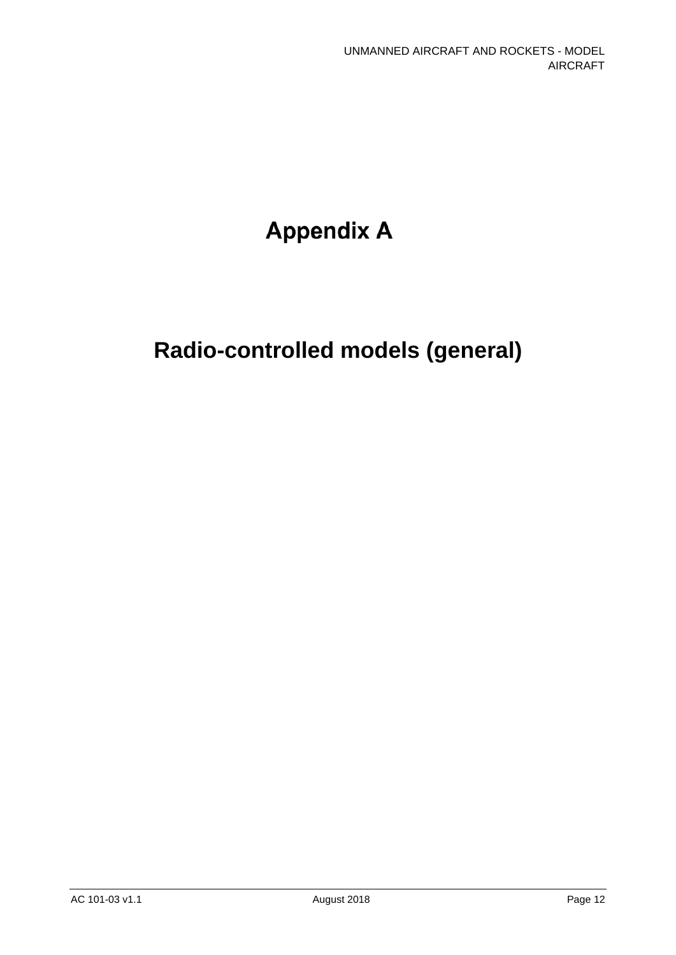# **Appendix A**

# **Radio-controlled models (general)**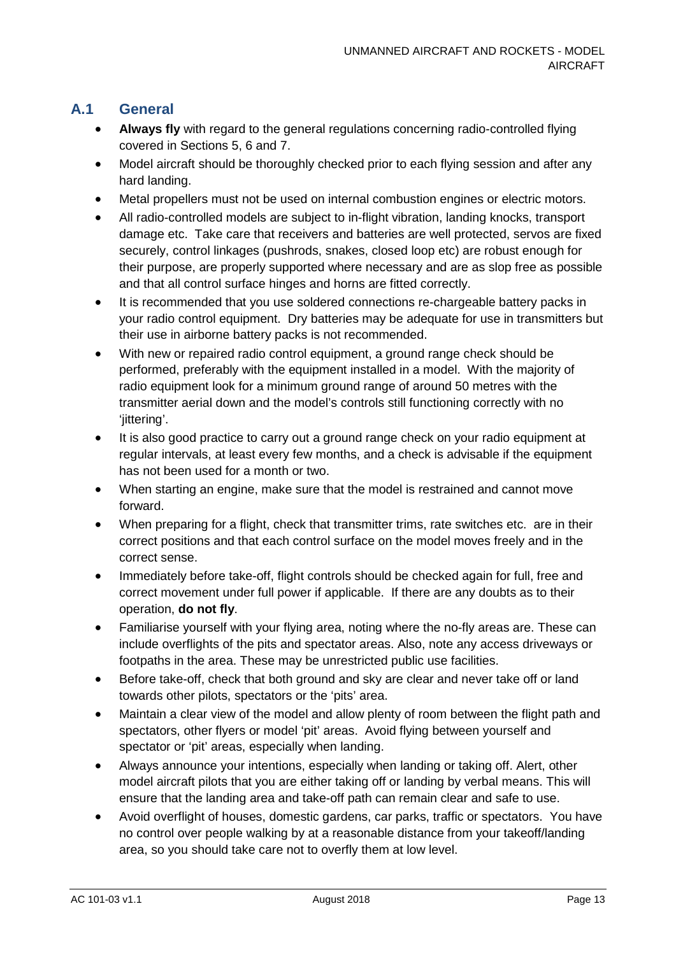### **A.1 General**

- **Always fly** with regard to the general regulations concerning radio-controlled flying covered in Sections 5, 6 and 7.
- Model aircraft should be thoroughly checked prior to each flying session and after any hard landing.
- Metal propellers must not be used on internal combustion engines or electric motors.
- All radio-controlled models are subject to in-flight vibration, landing knocks, transport damage etc. Take care that receivers and batteries are well protected, servos are fixed securely, control linkages (pushrods, snakes, closed loop etc) are robust enough for their purpose, are properly supported where necessary and are as slop free as possible and that all control surface hinges and horns are fitted correctly.
- It is recommended that you use soldered connections re-chargeable battery packs in your radio control equipment. Dry batteries may be adequate for use in transmitters but their use in airborne battery packs is not recommended.
- With new or repaired radio control equipment, a ground range check should be performed, preferably with the equipment installed in a model. With the majority of radio equipment look for a minimum ground range of around 50 metres with the transmitter aerial down and the model's controls still functioning correctly with no 'iittering'.
- It is also good practice to carry out a ground range check on your radio equipment at regular intervals, at least every few months, and a check is advisable if the equipment has not been used for a month or two.
- When starting an engine, make sure that the model is restrained and cannot move forward.
- When preparing for a flight, check that transmitter trims, rate switches etc. are in their correct positions and that each control surface on the model moves freely and in the correct sense.
- Immediately before take-off, flight controls should be checked again for full, free and correct movement under full power if applicable. If there are any doubts as to their operation, **do not fly**.
- Familiarise yourself with your flying area, noting where the no-fly areas are. These can include overflights of the pits and spectator areas. Also, note any access driveways or footpaths in the area. These may be unrestricted public use facilities.
- Before take-off, check that both ground and sky are clear and never take off or land towards other pilots, spectators or the 'pits' area.
- Maintain a clear view of the model and allow plenty of room between the flight path and spectators, other flyers or model 'pit' areas. Avoid flying between yourself and spectator or 'pit' areas, especially when landing.
- Always announce your intentions, especially when landing or taking off. Alert, other model aircraft pilots that you are either taking off or landing by verbal means. This will ensure that the landing area and take-off path can remain clear and safe to use.
- Avoid overflight of houses, domestic gardens, car parks, traffic or spectators. You have no control over people walking by at a reasonable distance from your takeoff/landing area, so you should take care not to overfly them at low level.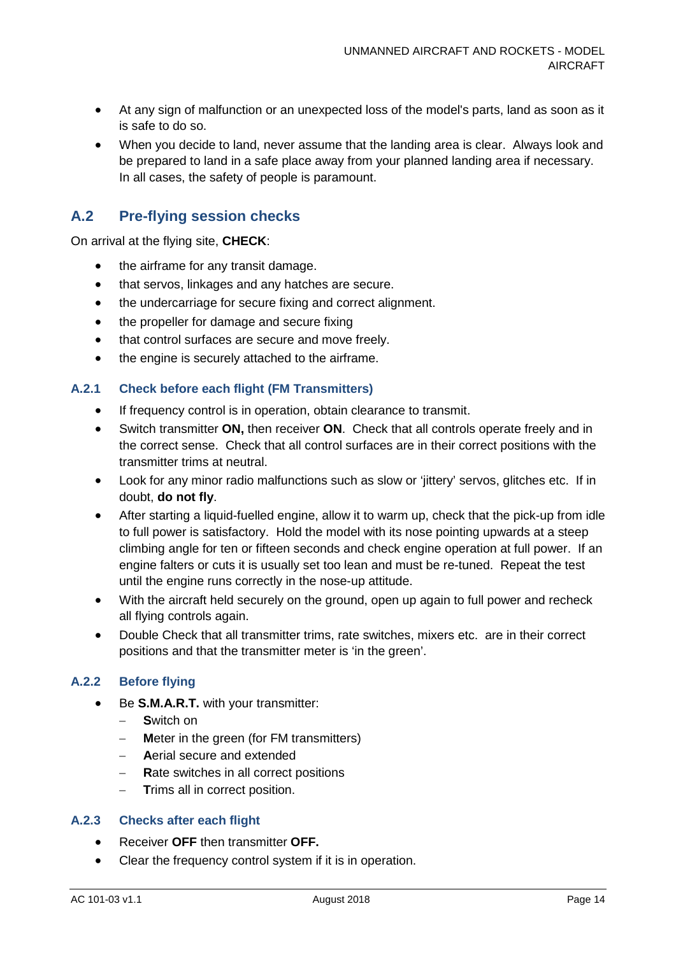- At any sign of malfunction or an unexpected loss of the model's parts, land as soon as it is safe to do so.
- When you decide to land, never assume that the landing area is clear. Always look and be prepared to land in a safe place away from your planned landing area if necessary. In all cases, the safety of people is paramount.

### **A.2 Pre-flying session checks**

On arrival at the flying site, **CHECK**:

- the airframe for any transit damage.
- that servos, linkages and any hatches are secure.
- the undercarriage for secure fixing and correct alignment.
- the propeller for damage and secure fixing
- that control surfaces are secure and move freely.
- the engine is securely attached to the airframe.

#### **A.2.1 Check before each flight (FM Transmitters)**

- If frequency control is in operation, obtain clearance to transmit.
- Switch transmitter **ON,** then receiver **ON**. Check that all controls operate freely and in the correct sense. Check that all control surfaces are in their correct positions with the transmitter trims at neutral.
- Look for any minor radio malfunctions such as slow or 'jittery' servos, glitches etc. If in doubt, **do not fly**.
- After starting a liquid-fuelled engine, allow it to warm up, check that the pick-up from idle to full power is satisfactory. Hold the model with its nose pointing upwards at a steep climbing angle for ten or fifteen seconds and check engine operation at full power. If an engine falters or cuts it is usually set too lean and must be re-tuned. Repeat the test until the engine runs correctly in the nose-up attitude.
- With the aircraft held securely on the ground, open up again to full power and recheck all flying controls again.
- Double Check that all transmitter trims, rate switches, mixers etc. are in their correct positions and that the transmitter meter is 'in the green'.

#### **A.2.2 Before flying**

- Be **S.M.A.R.T.** with your transmitter:
	- − **S**witch on
	- **Meter in the green (for FM transmitters)**
	- − **A**erial secure and extended
	- − **R**ate switches in all correct positions
	- **Trims all in correct position.**

#### **A.2.3 Checks after each flight**

- Receiver **OFF** then transmitter **OFF.**
- Clear the frequency control system if it is in operation.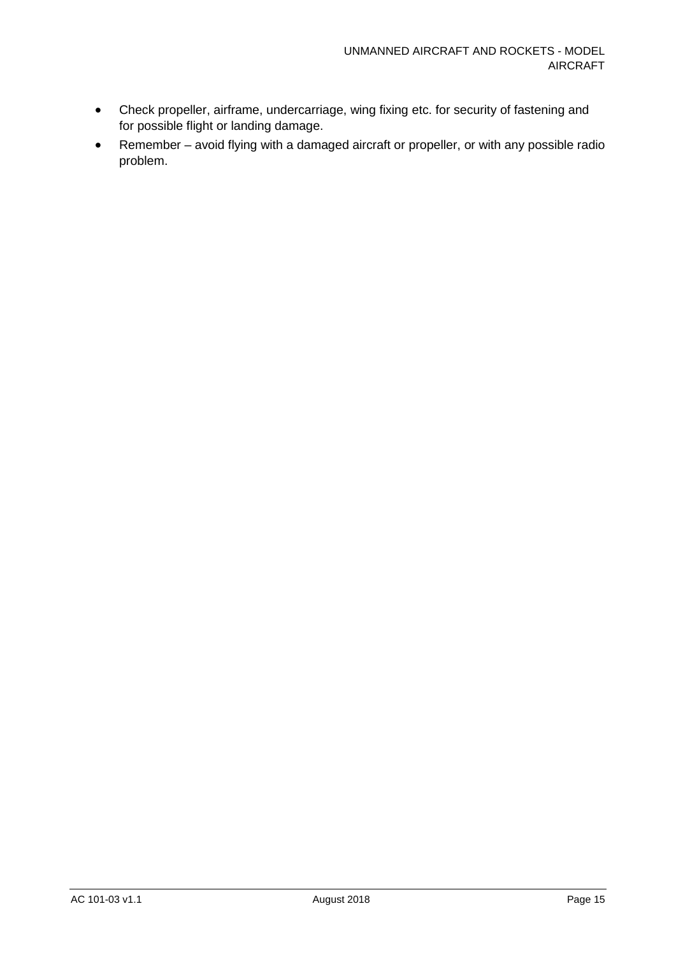- Check propeller, airframe, undercarriage, wing fixing etc. for security of fastening and for possible flight or landing damage.
- Remember avoid flying with a damaged aircraft or propeller, or with any possible radio problem.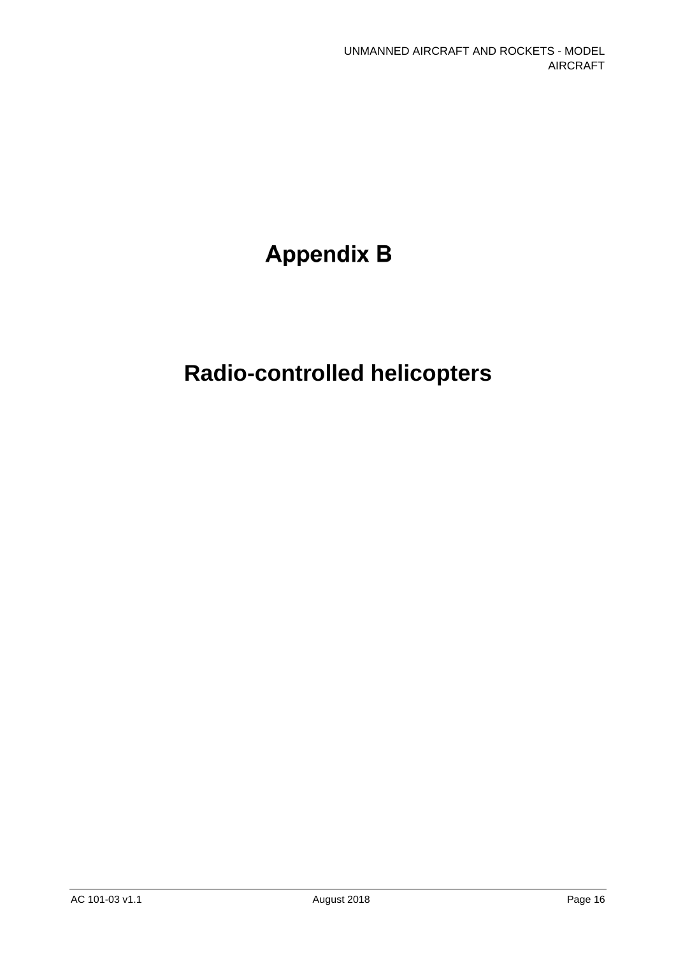# **Appendix B**

# **Radio-controlled helicopters**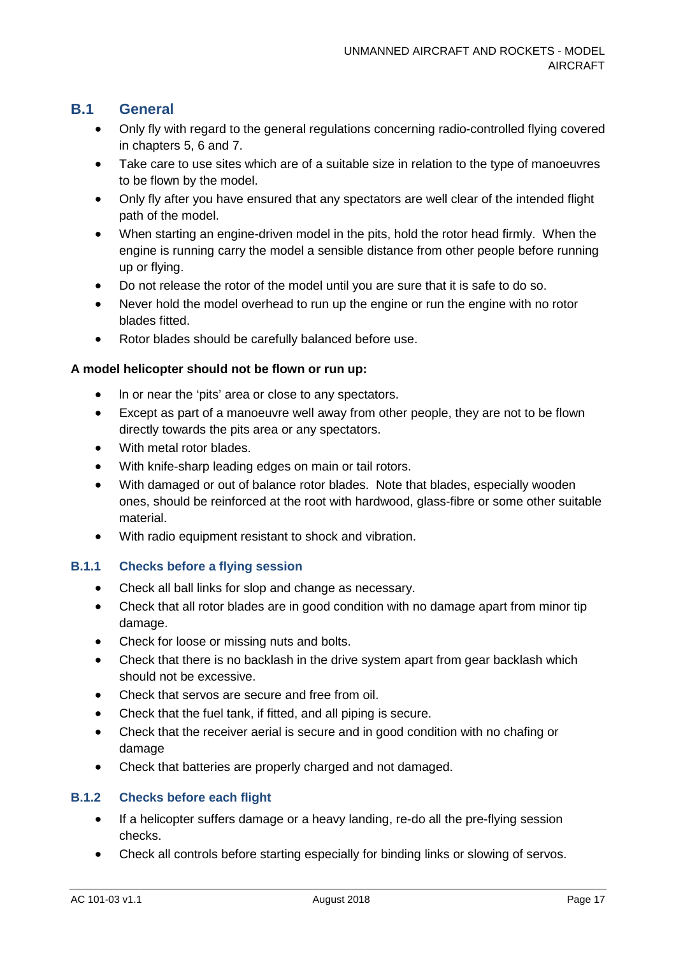### **B.1 General**

- Only fly with regard to the general regulations concerning radio-controlled flying covered in chapters 5, 6 and 7.
- Take care to use sites which are of a suitable size in relation to the type of manoeuvres to be flown by the model.
- Only fly after you have ensured that any spectators are well clear of the intended flight path of the model.
- When starting an engine-driven model in the pits, hold the rotor head firmly. When the engine is running carry the model a sensible distance from other people before running up or flying.
- Do not release the rotor of the model until you are sure that it is safe to do so.
- Never hold the model overhead to run up the engine or run the engine with no rotor blades fitted.
- Rotor blades should be carefully balanced before use.

#### **A model helicopter should not be flown or run up:**

- ln or near the 'pits' area or close to any spectators.
- Except as part of a manoeuvre well away from other people, they are not to be flown directly towards the pits area or any spectators.
- With metal rotor blades.
- With knife-sharp leading edges on main or tail rotors.
- With damaged or out of balance rotor blades. Note that blades, especially wooden ones, should be reinforced at the root with hardwood, glass-fibre or some other suitable material.
- With radio equipment resistant to shock and vibration.

#### **B.1.1 Checks before a flying session**

- Check all ball links for slop and change as necessary.
- Check that all rotor blades are in good condition with no damage apart from minor tip damage.
- Check for loose or missing nuts and bolts.
- Check that there is no backlash in the drive system apart from gear backlash which should not be excessive.
- Check that servos are secure and free from oil.
- Check that the fuel tank, if fitted, and all piping is secure.
- Check that the receiver aerial is secure and in good condition with no chafing or damage
- Check that batteries are properly charged and not damaged.

#### **B.1.2 Checks before each flight**

- If a helicopter suffers damage or a heavy landing, re-do all the pre-flying session checks.
- Check all controls before starting especially for binding links or slowing of servos.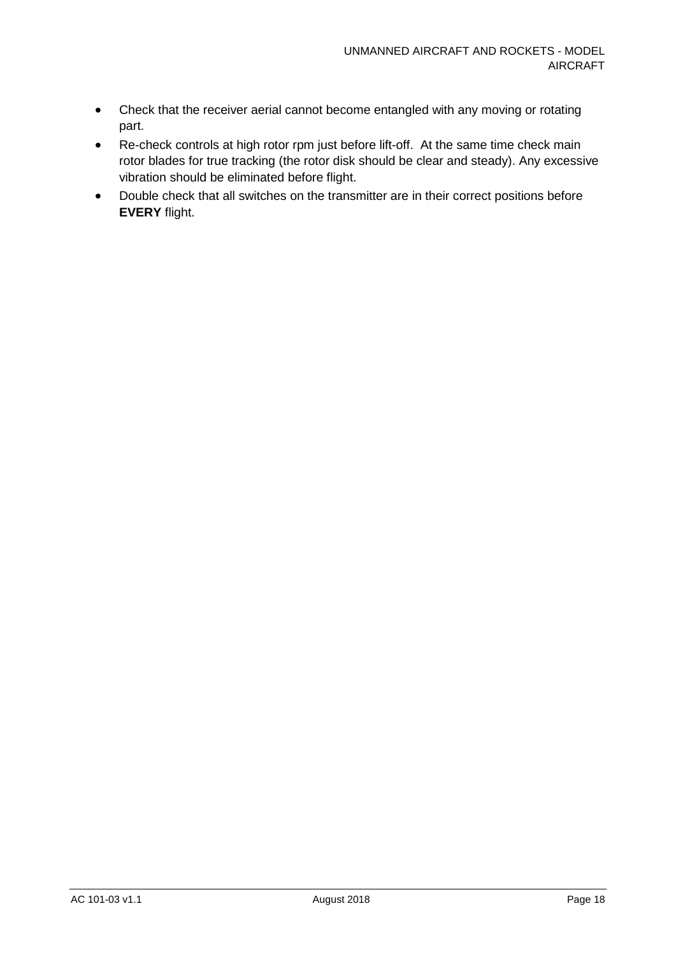- Check that the receiver aerial cannot become entangled with any moving or rotating part.
- Re-check controls at high rotor rpm just before lift-off. At the same time check main rotor blades for true tracking (the rotor disk should be clear and steady). Any excessive vibration should be eliminated before flight.
- Double check that all switches on the transmitter are in their correct positions before **EVERY** flight.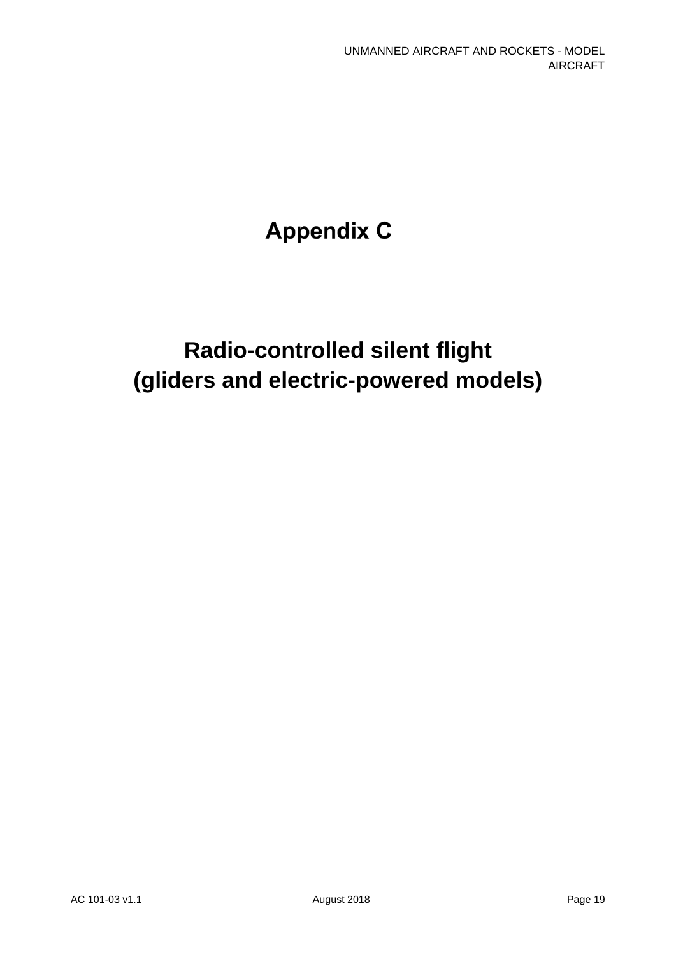# **Appendix C**

# **Radio-controlled silent flight (gliders and electric-powered models)**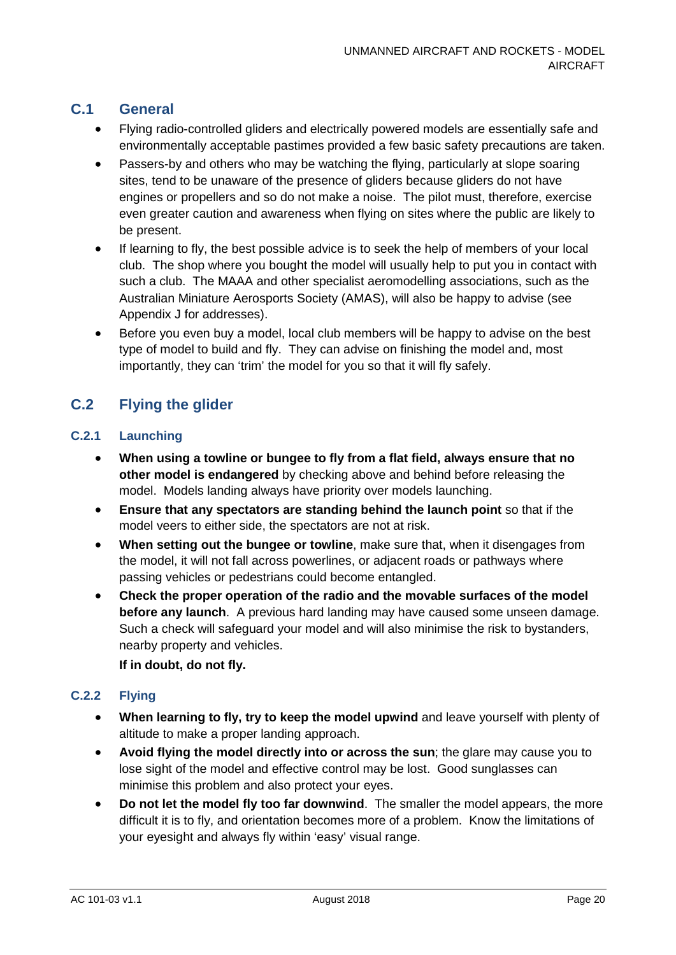### **C.1 General**

- Flying radio-controlled gliders and electrically powered models are essentially safe and environmentally acceptable pastimes provided a few basic safety precautions are taken.
- Passers-by and others who may be watching the flying, particularly at slope soaring sites, tend to be unaware of the presence of gliders because gliders do not have engines or propellers and so do not make a noise. The pilot must, therefore, exercise even greater caution and awareness when flying on sites where the public are likely to be present.
- If learning to fly, the best possible advice is to seek the help of members of your local club. The shop where you bought the model will usually help to put you in contact with such a club. The MAAA and other specialist aeromodelling associations, such as the Australian Miniature Aerosports Society (AMAS), will also be happy to advise (see Appendix J for addresses).
- Before you even buy a model, local club members will be happy to advise on the best type of model to build and fly. They can advise on finishing the model and, most importantly, they can 'trim' the model for you so that it will fly safely.

### **C.2 Flying the glider**

#### **C.2.1 Launching**

- **When using a towline or bungee to fly from a flat field, always ensure that no other model is endangered** by checking above and behind before releasing the model. Models landing always have priority over models launching.
- **Ensure that any spectators are standing behind the launch point** so that if the model veers to either side, the spectators are not at risk.
- **When setting out the bungee or towline**, make sure that, when it disengages from the model, it will not fall across powerlines, or adjacent roads or pathways where passing vehicles or pedestrians could become entangled.
- **Check the proper operation of the radio and the movable surfaces of the model before any launch**. A previous hard landing may have caused some unseen damage. Such a check will safeguard your model and will also minimise the risk to bystanders, nearby property and vehicles.

**If in doubt, do not fly.**

#### **C.2.2 Flying**

- **When learning to fly, try to keep the model upwind** and leave yourself with plenty of altitude to make a proper landing approach.
- **Avoid flying the model directly into or across the sun**; the glare may cause you to lose sight of the model and effective control may be lost. Good sunglasses can minimise this problem and also protect your eyes.
- **Do not let the model fly too far downwind**. The smaller the model appears, the more difficult it is to fly, and orientation becomes more of a problem. Know the limitations of your eyesight and always fly within 'easy' visual range.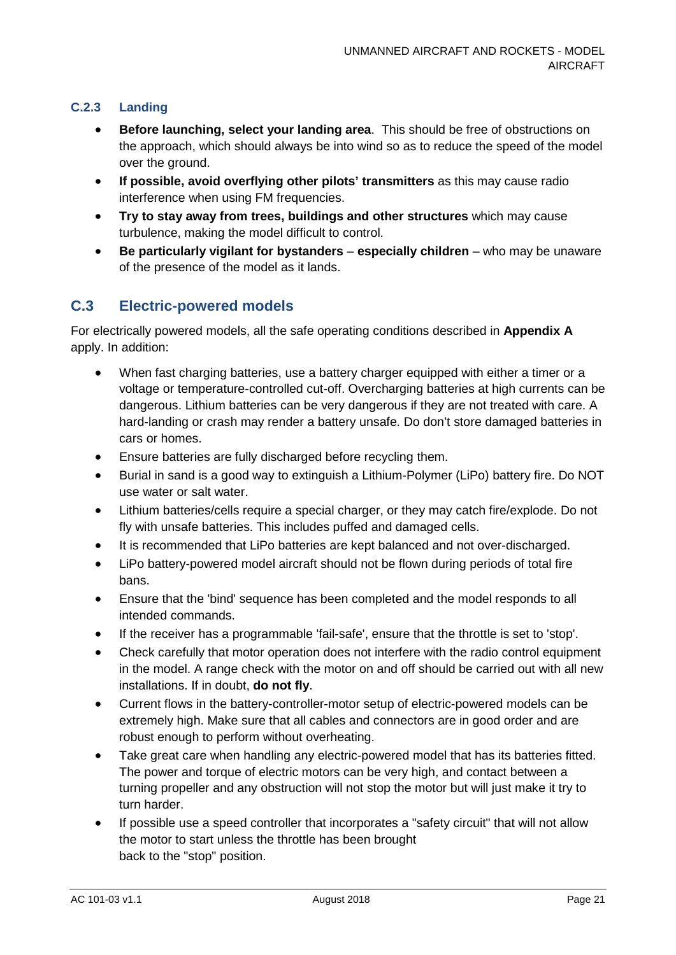#### **C.2.3 Landing**

- **Before launching, select your landing area.** This should be free of obstructions on the approach, which should always be into wind so as to reduce the speed of the model over the ground.
- **If possible, avoid overflying other pilots' transmitters** as this may cause radio interference when using FM frequencies.
- **Try to stay away from trees, buildings and other structures** which may cause turbulence, making the model difficult to control.
- **Be particularly vigilant for bystanders especially children** who may be unaware of the presence of the model as it lands.

### **C.3 Electric-powered models**

For electrically powered models, all the safe operating conditions described in **Appendix A** apply. In addition:

- When fast charging batteries, use a battery charger equipped with either a timer or a voltage or temperature-controlled cut-off. Overcharging batteries at high currents can be dangerous. Lithium batteries can be very dangerous if they are not treated with care. A hard-landing or crash may render a battery unsafe. Do don't store damaged batteries in cars or homes.
- Ensure batteries are fully discharged before recycling them.
- Burial in sand is a good way to extinguish a Lithium-Polymer (LiPo) battery fire. Do NOT use water or salt water.
- Lithium batteries/cells require a special charger, or they may catch fire/explode. Do not fly with unsafe batteries. This includes puffed and damaged cells.
- It is recommended that LiPo batteries are kept balanced and not over-discharged.
- LiPo battery-powered model aircraft should not be flown during periods of total fire bans.
- Ensure that the 'bind' sequence has been completed and the model responds to all intended commands.
- If the receiver has a programmable 'fail-safe', ensure that the throttle is set to 'stop'.
- Check carefully that motor operation does not interfere with the radio control equipment in the model. A range check with the motor on and off should be carried out with all new installations. If in doubt, **do not fly**.
- Current flows in the battery-controller-motor setup of electric-powered models can be extremely high. Make sure that all cables and connectors are in good order and are robust enough to perform without overheating.
- Take great care when handling any electric-powered model that has its batteries fitted. The power and torque of electric motors can be very high, and contact between a turning propeller and any obstruction will not stop the motor but will just make it try to turn harder.
- If possible use a speed controller that incorporates a "safety circuit" that will not allow the motor to start unless the throttle has been brought back to the "stop" position.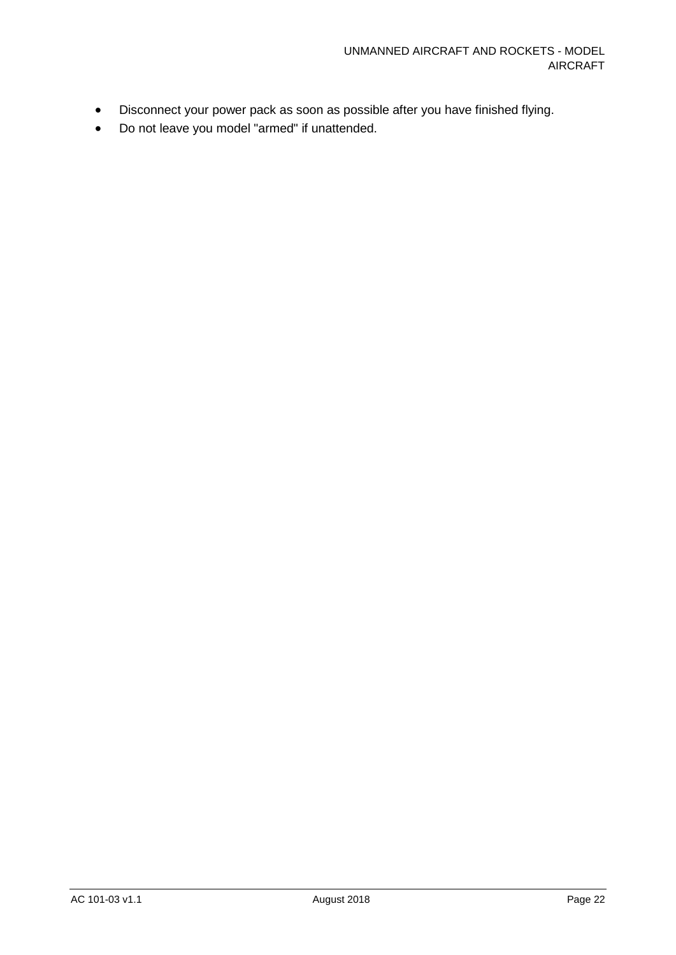- Disconnect your power pack as soon as possible after you have finished flying.
- Do not leave you model "armed" if unattended.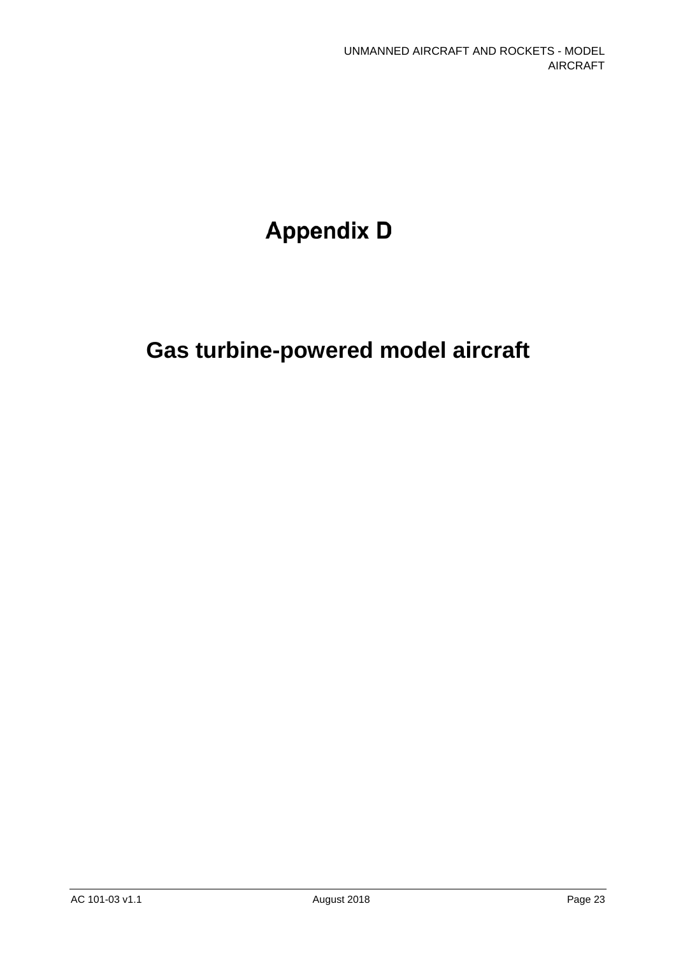# **Appendix D**

# **Gas turbine-powered model aircraft**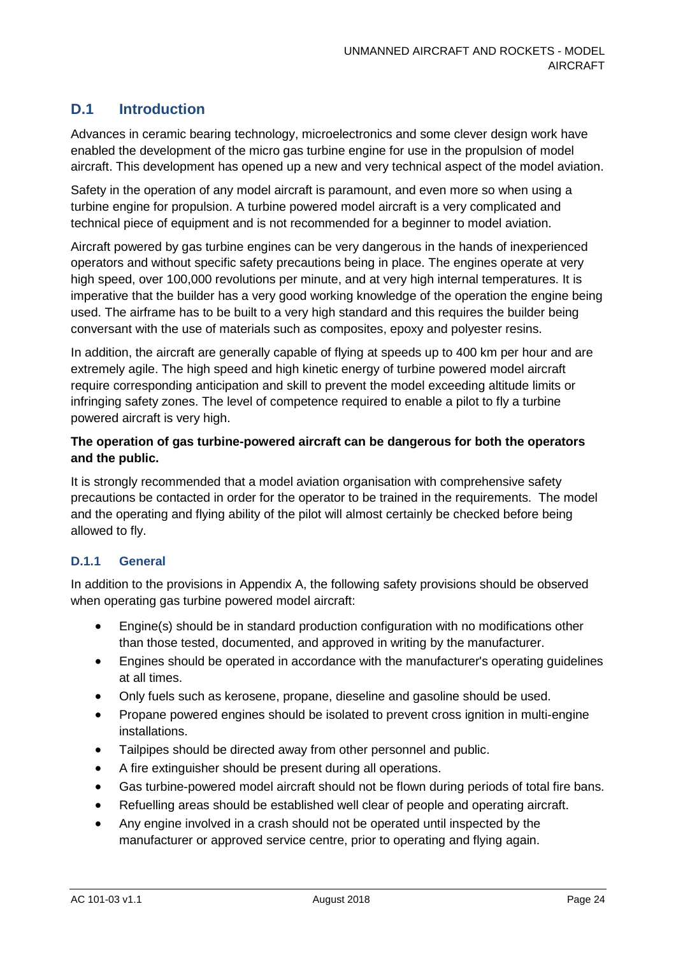### **D.1 Introduction**

Advances in ceramic bearing technology, microelectronics and some clever design work have enabled the development of the micro gas turbine engine for use in the propulsion of model aircraft. This development has opened up a new and very technical aspect of the model aviation.

Safety in the operation of any model aircraft is paramount, and even more so when using a turbine engine for propulsion. A turbine powered model aircraft is a very complicated and technical piece of equipment and is not recommended for a beginner to model aviation.

Aircraft powered by gas turbine engines can be very dangerous in the hands of inexperienced operators and without specific safety precautions being in place. The engines operate at very high speed, over 100,000 revolutions per minute, and at very high internal temperatures. It is imperative that the builder has a very good working knowledge of the operation the engine being used. The airframe has to be built to a very high standard and this requires the builder being conversant with the use of materials such as composites, epoxy and polyester resins.

In addition, the aircraft are generally capable of flying at speeds up to 400 km per hour and are extremely agile. The high speed and high kinetic energy of turbine powered model aircraft require corresponding anticipation and skill to prevent the model exceeding altitude limits or infringing safety zones. The level of competence required to enable a pilot to fly a turbine powered aircraft is very high.

#### **The operation of gas turbine-powered aircraft can be dangerous for both the operators and the public.**

It is strongly recommended that a model aviation organisation with comprehensive safety precautions be contacted in order for the operator to be trained in the requirements. The model and the operating and flying ability of the pilot will almost certainly be checked before being allowed to fly.

#### **D.1.1 General**

In addition to the provisions in Appendix A, the following safety provisions should be observed when operating gas turbine powered model aircraft:

- Engine(s) should be in standard production configuration with no modifications other than those tested, documented, and approved in writing by the manufacturer.
- Engines should be operated in accordance with the manufacturer's operating guidelines at all times.
- Only fuels such as kerosene, propane, dieseline and gasoline should be used.
- Propane powered engines should be isolated to prevent cross ignition in multi-engine installations.
- Tailpipes should be directed away from other personnel and public.
- A fire extinguisher should be present during all operations.
- Gas turbine-powered model aircraft should not be flown during periods of total fire bans.
- Refuelling areas should be established well clear of people and operating aircraft.
- Any engine involved in a crash should not be operated until inspected by the manufacturer or approved service centre, prior to operating and flying again.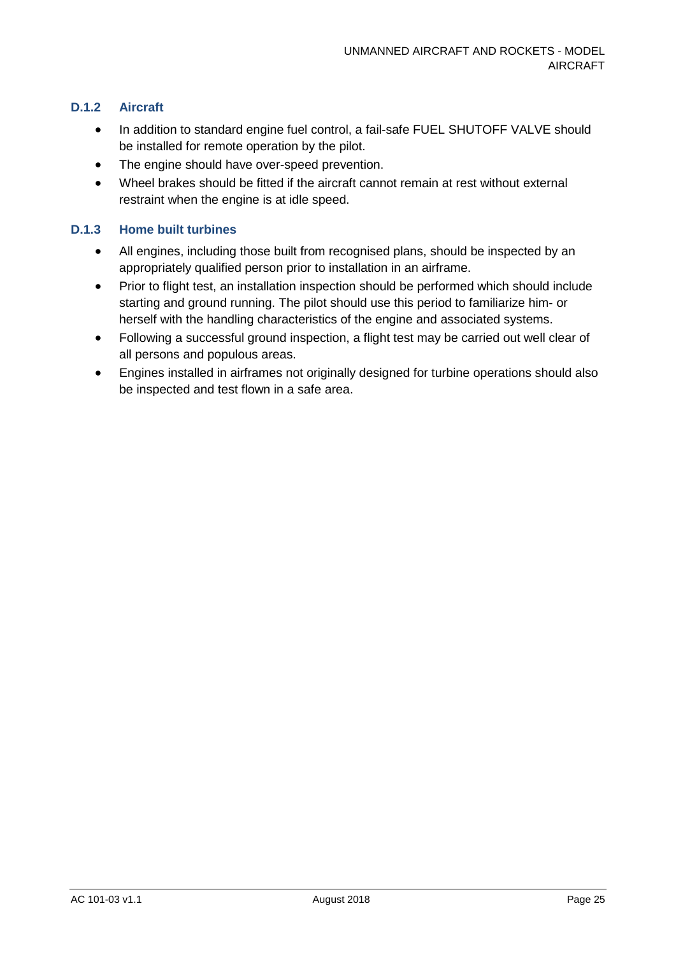#### **D.1.2 Aircraft**

- In addition to standard engine fuel control, a fail-safe FUEL SHUTOFF VALVE should be installed for remote operation by the pilot.
- The engine should have over-speed prevention.
- Wheel brakes should be fitted if the aircraft cannot remain at rest without external restraint when the engine is at idle speed.

#### **D.1.3 Home built turbines**

- All engines, including those built from recognised plans, should be inspected by an appropriately qualified person prior to installation in an airframe.
- Prior to flight test, an installation inspection should be performed which should include starting and ground running. The pilot should use this period to familiarize him- or herself with the handling characteristics of the engine and associated systems.
- Following a successful ground inspection, a flight test may be carried out well clear of all persons and populous areas.
- Engines installed in airframes not originally designed for turbine operations should also be inspected and test flown in a safe area.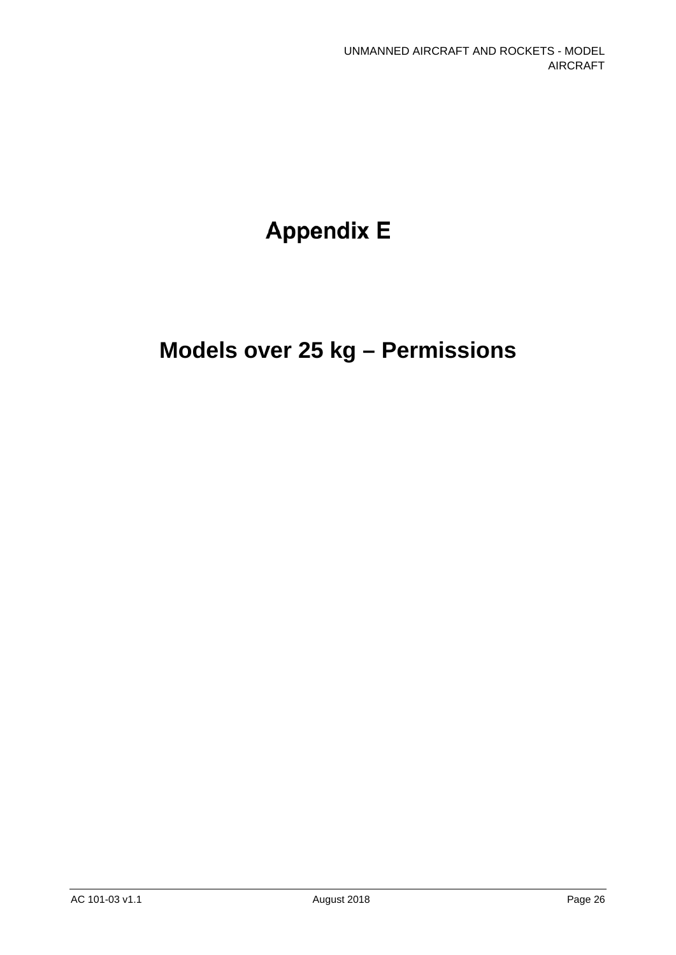# **Appendix E**

# **Models over 25 kg – Permissions**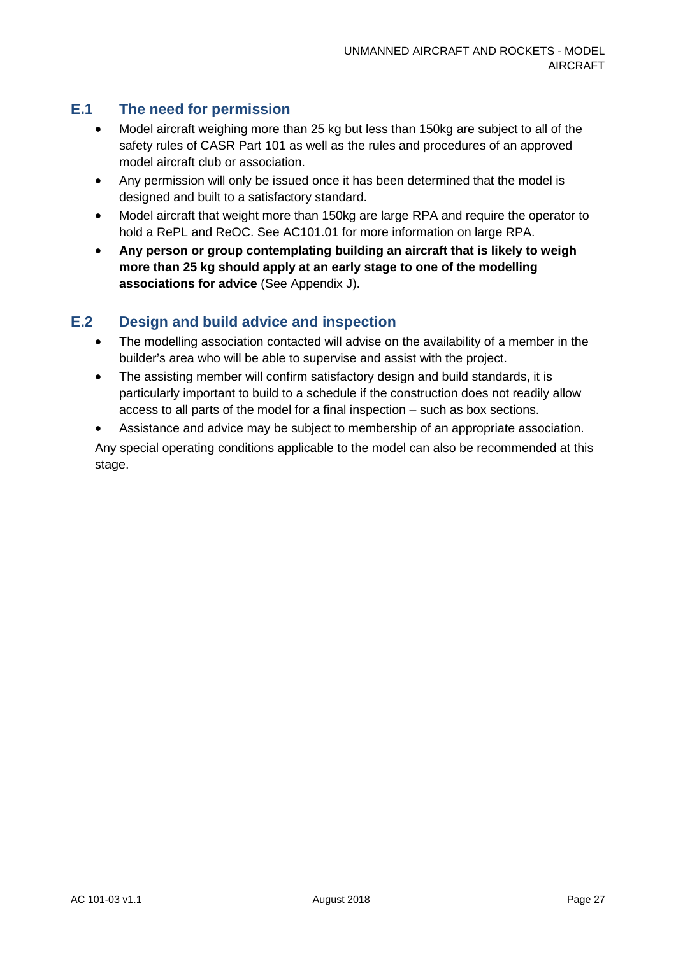### **E.1 The need for permission**

- Model aircraft weighing more than 25 kg but less than 150kg are subject to all of the safety rules of CASR Part 101 as well as the rules and procedures of an approved model aircraft club or association.
- Any permission will only be issued once it has been determined that the model is designed and built to a satisfactory standard.
- Model aircraft that weight more than 150kg are large RPA and require the operator to hold a RePL and ReOC. See AC101.01 for more information on large RPA.
- **Any person or group contemplating building an aircraft that is likely to weigh more than 25 kg should apply at an early stage to one of the modelling associations for advice** (See Appendix J).

### **E.2 Design and build advice and inspection**

- The modelling association contacted will advise on the availability of a member in the builder's area who will be able to supervise and assist with the project.
- The assisting member will confirm satisfactory design and build standards, it is particularly important to build to a schedule if the construction does not readily allow access to all parts of the model for a final inspection – such as box sections.
- Assistance and advice may be subject to membership of an appropriate association.

Any special operating conditions applicable to the model can also be recommended at this stage.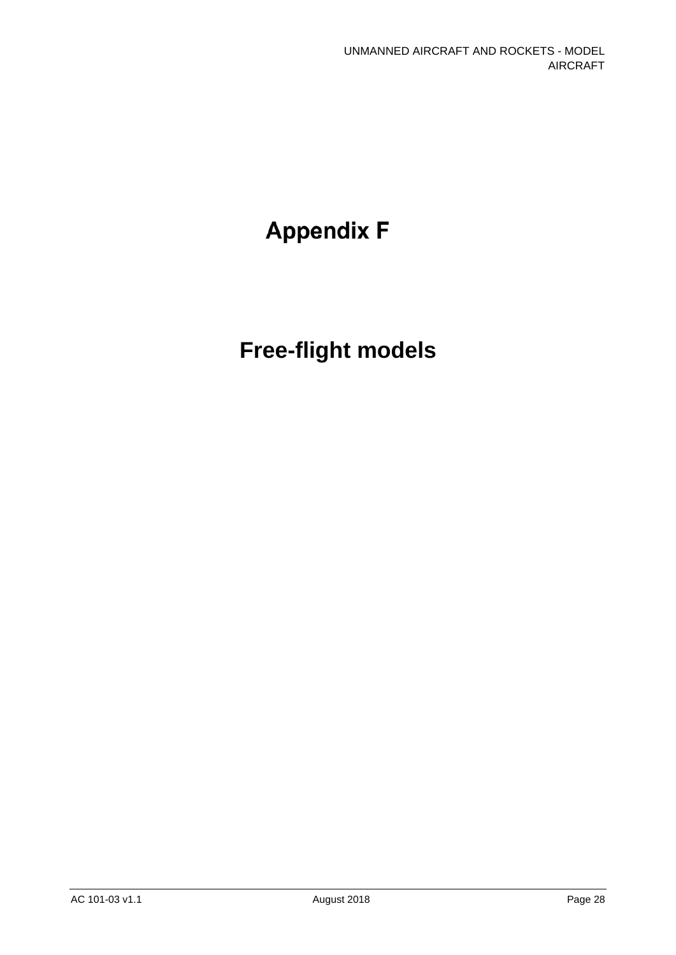# **Appendix F**

# **Free-flight models**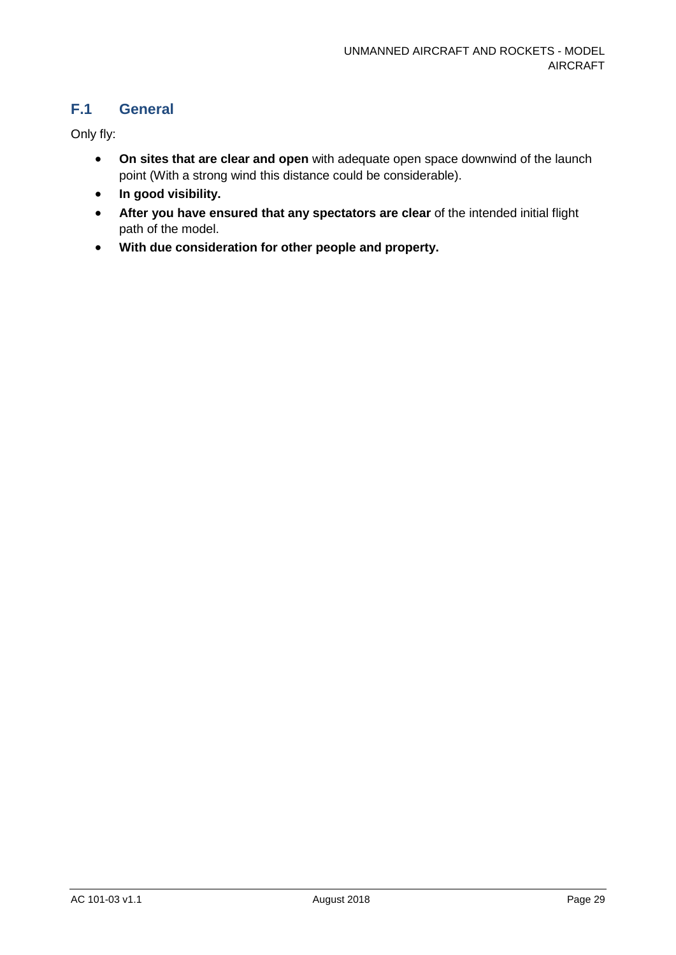### **F.1 General**

Only fly:

- **On sites that are clear and open** with adequate open space downwind of the launch point (With a strong wind this distance could be considerable).
- **In good visibility.**
- **After you have ensured that any spectators are clear** of the intended initial flight path of the model.
- **With due consideration for other people and property.**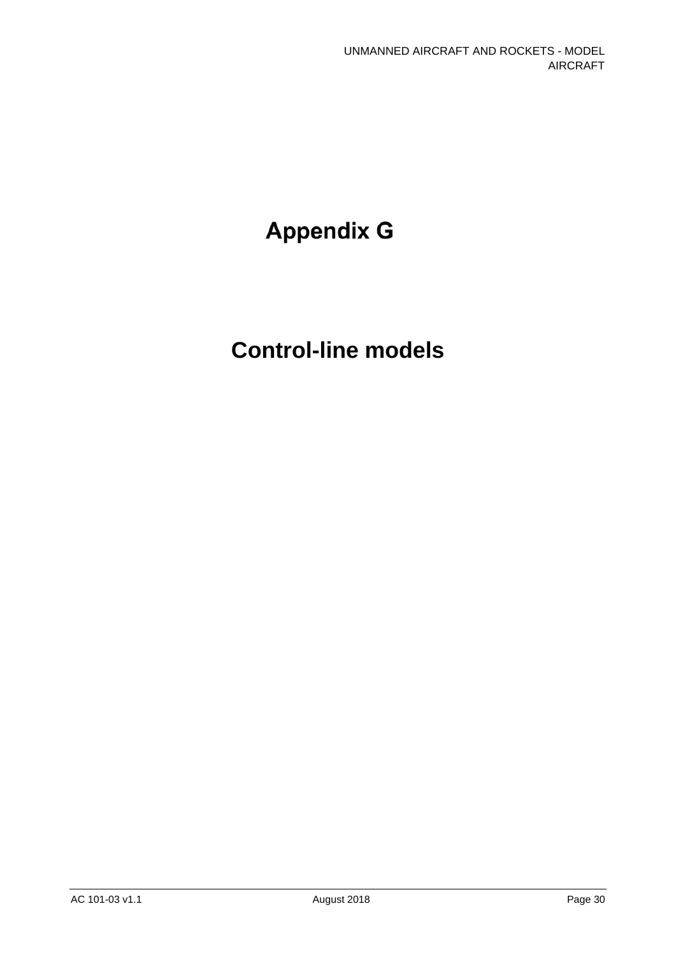# **Appendix G**

# **Control-line models**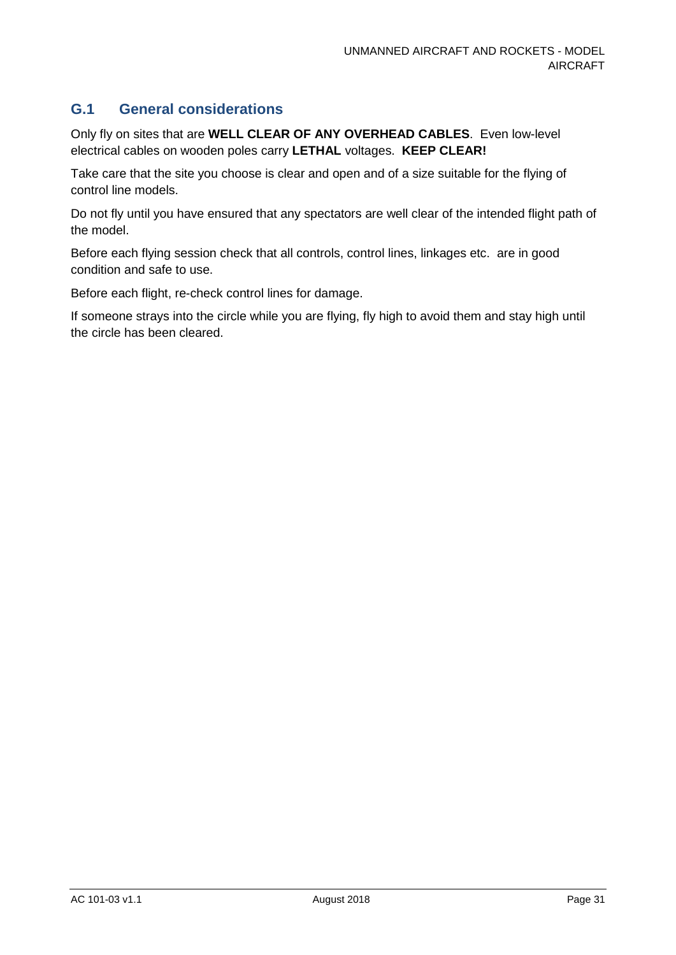### **G.1 General considerations**

Only fly on sites that are **WELL CLEAR OF ANY OVERHEAD CABLES**. Even low-level electrical cables on wooden poles carry **LETHAL** voltages. **KEEP CLEAR!**

Take care that the site you choose is clear and open and of a size suitable for the flying of control line models.

Do not fly until you have ensured that any spectators are well clear of the intended flight path of the model.

Before each flying session check that all controls, control lines, linkages etc. are in good condition and safe to use.

Before each flight, re-check control lines for damage.

If someone strays into the circle while you are flying, fly high to avoid them and stay high until the circle has been cleared.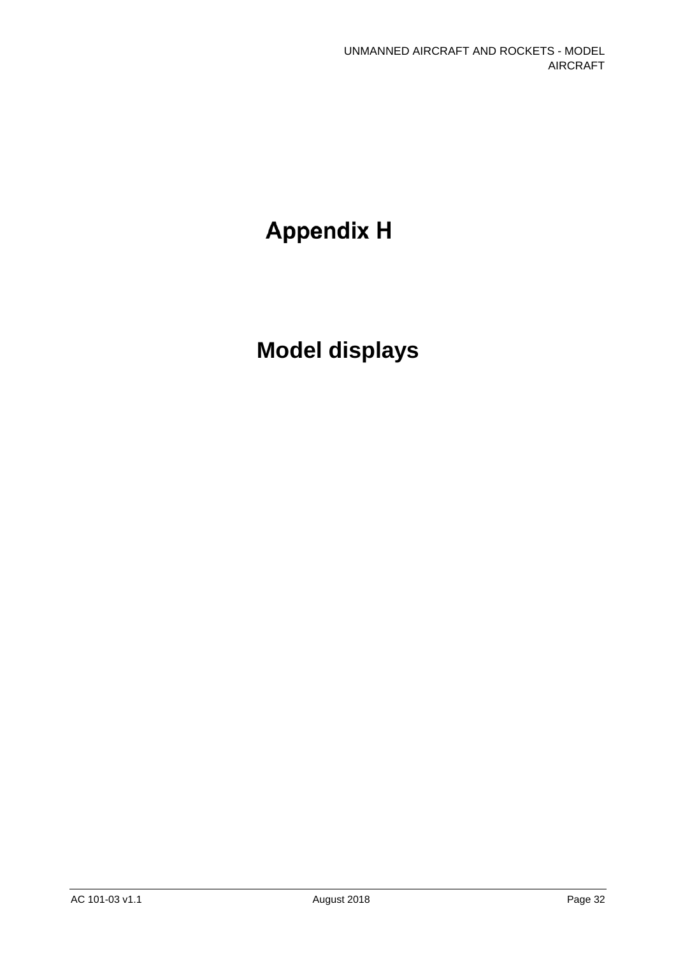# **Appendix H**

# **Model displays**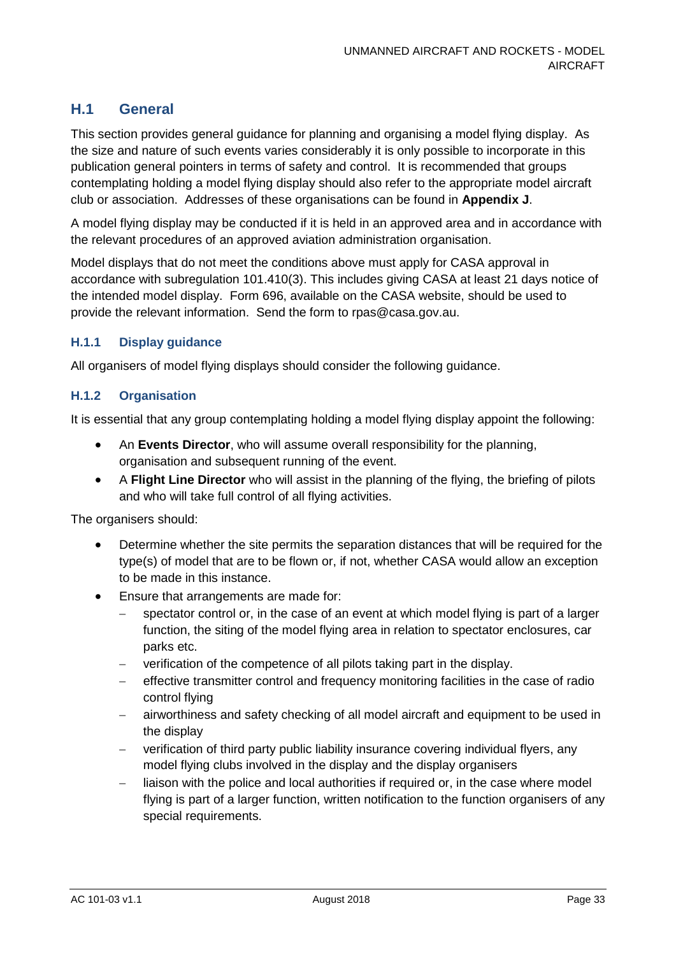### **H.1 General**

This section provides general guidance for planning and organising a model flying display. As the size and nature of such events varies considerably it is only possible to incorporate in this publication general pointers in terms of safety and control. It is recommended that groups contemplating holding a model flying display should also refer to the appropriate model aircraft club or association. Addresses of these organisations can be found in **Appendix J**.

A model flying display may be conducted if it is held in an approved area and in accordance with the relevant procedures of an approved aviation administration organisation.

Model displays that do not meet the conditions above must apply for CASA approval in accordance with subregulation 101.410(3). This includes giving CASA at least 21 days notice of the intended model display. Form 696, available on the CASA website, should be used to provide the relevant information. Send the form to rpas@casa.gov.au.

#### **H.1.1 Display guidance**

All organisers of model flying displays should consider the following guidance.

#### **H.1.2 Organisation**

It is essential that any group contemplating holding a model flying display appoint the following:

- An **Events Director**, who will assume overall responsibility for the planning, organisation and subsequent running of the event.
- A **Flight Line Director** who will assist in the planning of the flying, the briefing of pilots and who will take full control of all flying activities.

The organisers should:

- Determine whether the site permits the separation distances that will be required for the type(s) of model that are to be flown or, if not, whether CASA would allow an exception to be made in this instance.
- Ensure that arrangements are made for:
	- − spectator control or, in the case of an event at which model flying is part of a larger function, the siting of the model flying area in relation to spectator enclosures, car parks etc.
	- − verification of the competence of all pilots taking part in the display.
	- − effective transmitter control and frequency monitoring facilities in the case of radio control flying
	- − airworthiness and safety checking of all model aircraft and equipment to be used in the display
	- verification of third party public liability insurance covering individual flyers, any model flying clubs involved in the display and the display organisers
	- liaison with the police and local authorities if required or, in the case where model flying is part of a larger function, written notification to the function organisers of any special requirements.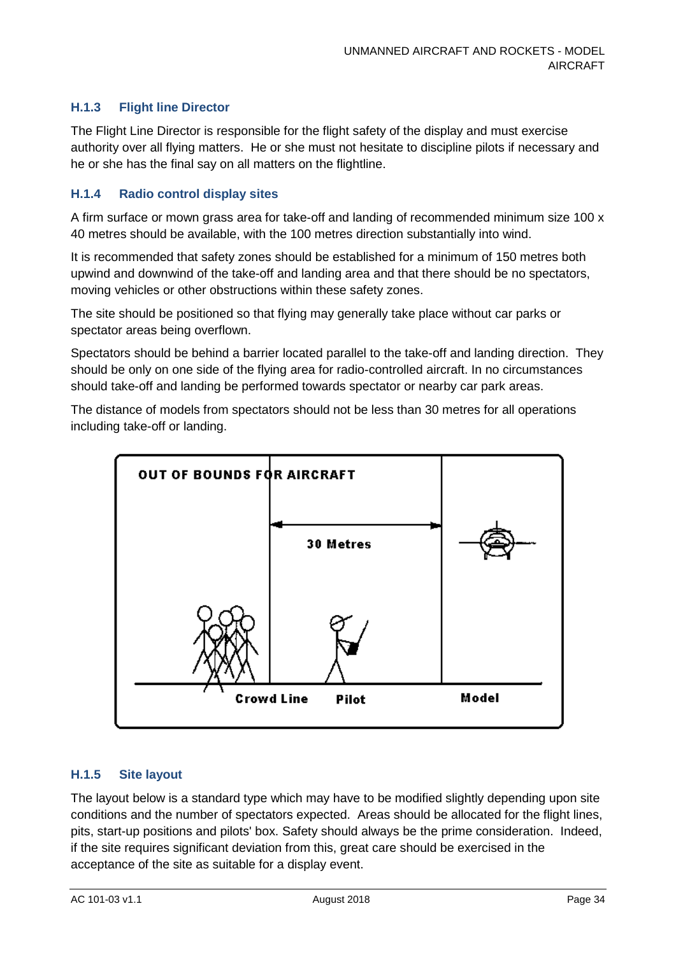#### **H.1.3 Flight line Director**

The Flight Line Director is responsible for the flight safety of the display and must exercise authority over all flying matters. He or she must not hesitate to discipline pilots if necessary and he or she has the final say on all matters on the flightline.

#### **H.1.4 Radio control display sites**

A firm surface or mown grass area for take-off and landing of recommended minimum size 100 x 40 metres should be available, with the 100 metres direction substantially into wind.

It is recommended that safety zones should be established for a minimum of 150 metres both upwind and downwind of the take-off and landing area and that there should be no spectators, moving vehicles or other obstructions within these safety zones.

The site should be positioned so that flying may generally take place without car parks or spectator areas being overflown.

Spectators should be behind a barrier located parallel to the take-off and landing direction. They should be only on one side of the flying area for radio-controlled aircraft. In no circumstances should take-off and landing be performed towards spectator or nearby car park areas.

The distance of models from spectators should not be less than 30 metres for all operations including take-off or landing.



#### **H.1.5 Site layout**

The layout below is a standard type which may have to be modified slightly depending upon site conditions and the number of spectators expected. Areas should be allocated for the flight lines, pits, start-up positions and pilots' box. Safety should always be the prime consideration. Indeed, if the site requires significant deviation from this, great care should be exercised in the acceptance of the site as suitable for a display event.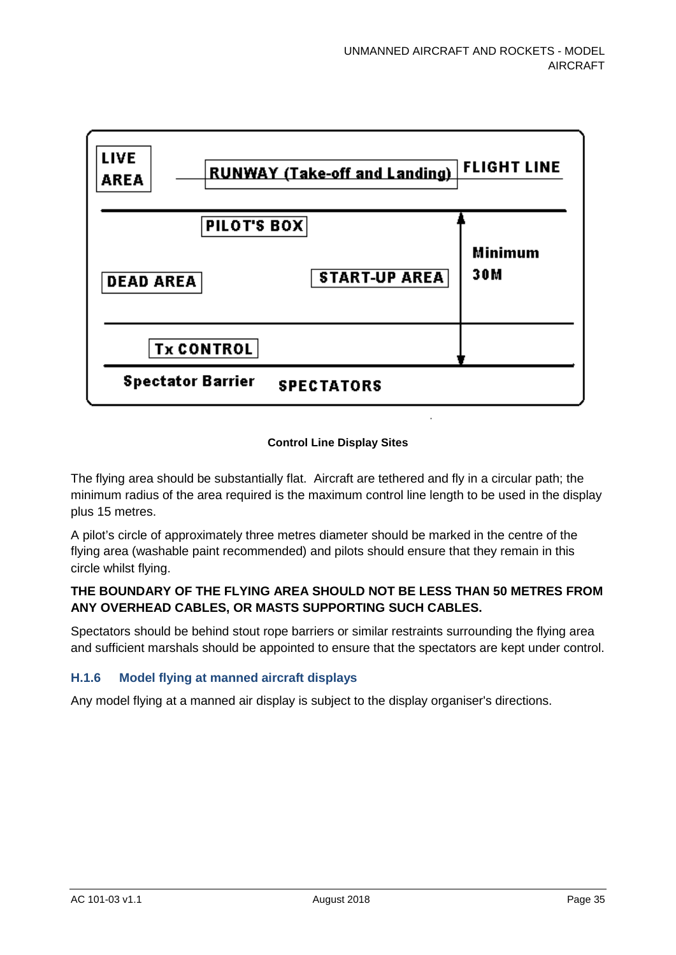

#### **Control Line Display Sites**

The flying area should be substantially flat. Aircraft are tethered and fly in a circular path; the minimum radius of the area required is the maximum control line length to be used in the display plus 15 metres.

A pilot's circle of approximately three metres diameter should be marked in the centre of the flying area (washable paint recommended) and pilots should ensure that they remain in this circle whilst flying.

#### **THE BOUNDARY OF THE FLYING AREA SHOULD NOT BE LESS THAN 50 METRES FROM ANY OVERHEAD CABLES, OR MASTS SUPPORTING SUCH CABLES.**

Spectators should be behind stout rope barriers or similar restraints surrounding the flying area and sufficient marshals should be appointed to ensure that the spectators are kept under control.

#### **H.1.6 Model flying at manned aircraft displays**

Any model flying at a manned air display is subject to the display organiser's directions.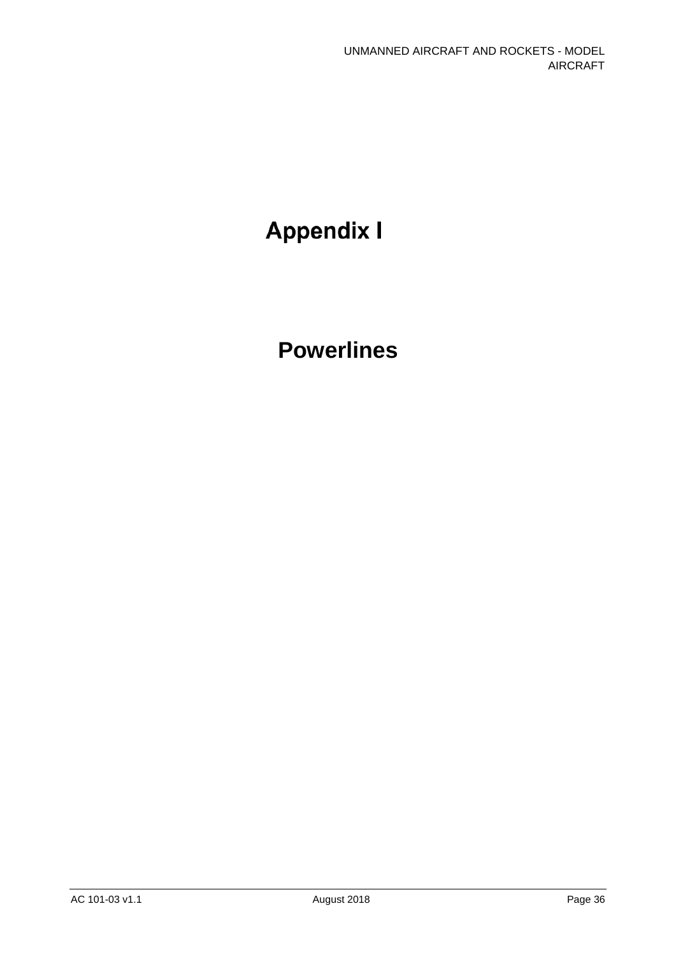# **Appendix I**

# **Powerlines**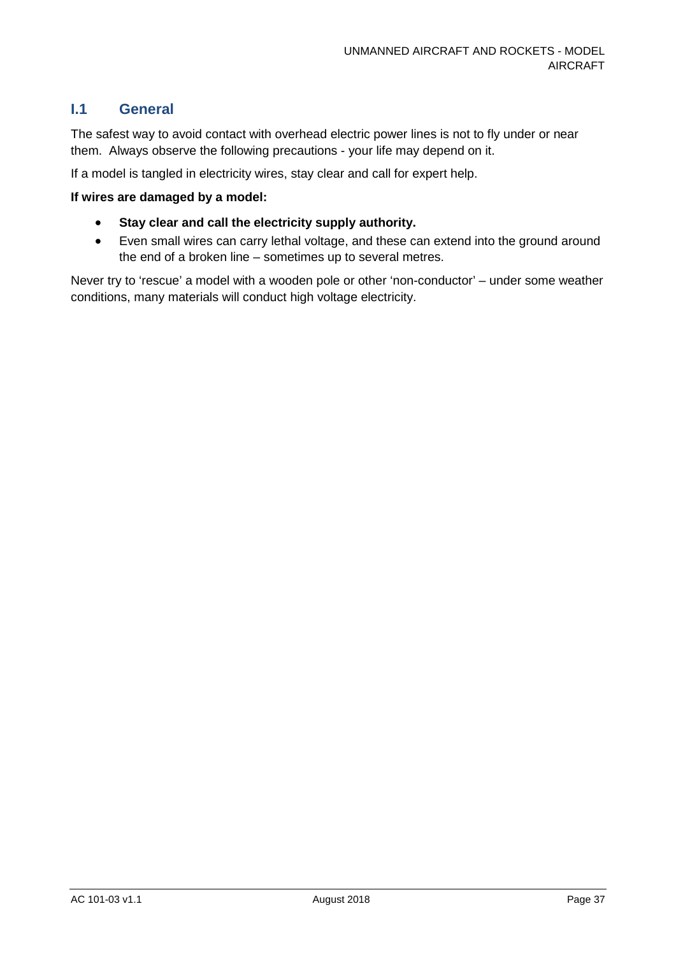### **I.1 General**

The safest way to avoid contact with overhead electric power lines is not to fly under or near them. Always observe the following precautions - your life may depend on it.

If a model is tangled in electricity wires, stay clear and call for expert help.

#### **If wires are damaged by a model:**

- **Stay clear and call the electricity supply authority.**
- Even small wires can carry lethal voltage, and these can extend into the ground around the end of a broken line – sometimes up to several metres.

Never try to 'rescue' a model with a wooden pole or other 'non-conductor' – under some weather conditions, many materials will conduct high voltage electricity.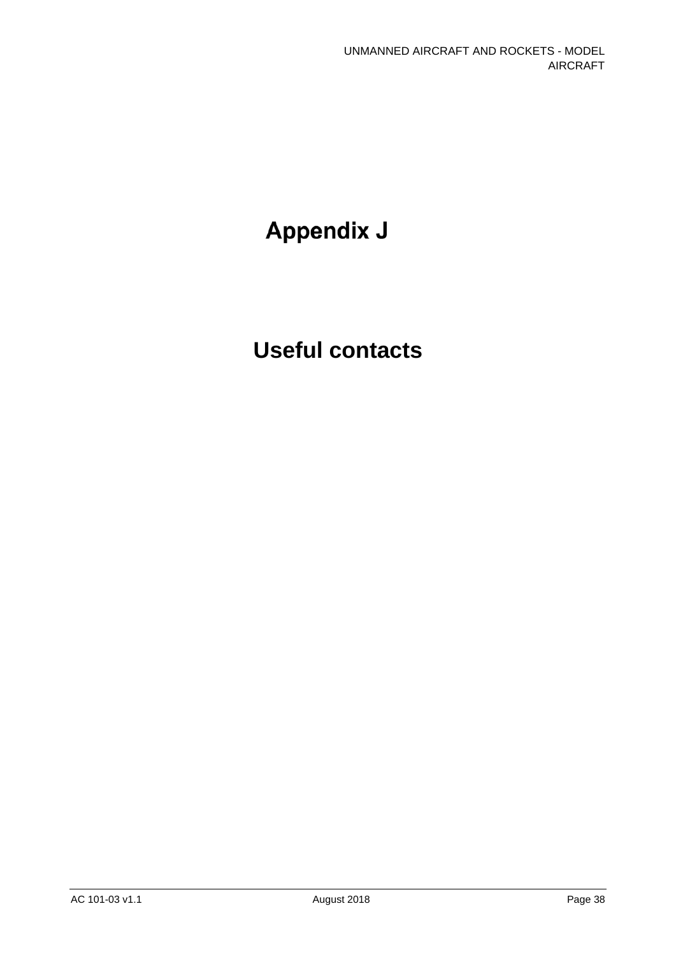# **Appendix J**

# **Useful contacts**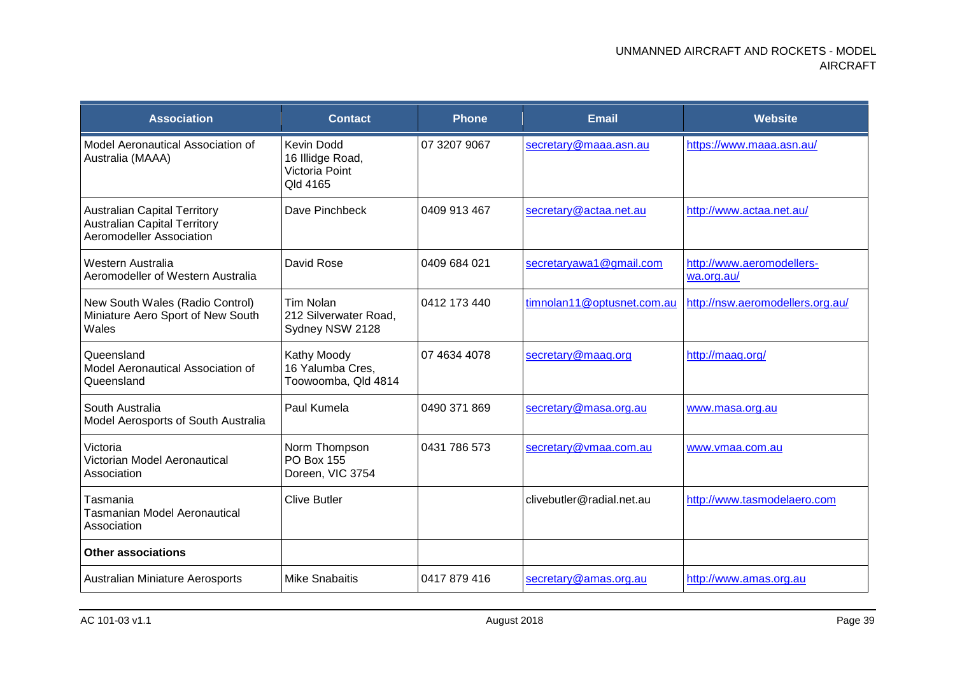| <b>Association</b>                                                                                     | <b>Contact</b>                                                      | <b>Phone</b> | <b>Email</b>               | <b>Website</b>                          |
|--------------------------------------------------------------------------------------------------------|---------------------------------------------------------------------|--------------|----------------------------|-----------------------------------------|
| Model Aeronautical Association of<br>Australia (MAAA)                                                  | <b>Kevin Dodd</b><br>16 Illidge Road,<br>Victoria Point<br>Qld 4165 | 07 3207 9067 | secretary@maaa.asn.au      | https://www.maaa.asn.au/                |
| <b>Australian Capital Territory</b><br><b>Australian Capital Territory</b><br>Aeromodeller Association | Dave Pinchbeck                                                      | 0409 913 467 | secretary@actaa.net.au     | http://www.actaa.net.au/                |
| Western Australia<br>Aeromodeller of Western Australia                                                 | David Rose                                                          | 0409 684 021 | secretaryawa1@gmail.com    | http://www.aeromodellers-<br>wa.org.au/ |
| New South Wales (Radio Control)<br>Miniature Aero Sport of New South<br>Wales                          | <b>Tim Nolan</b><br>212 Silverwater Road,<br>Sydney NSW 2128        | 0412 173 440 | timnolan11@optusnet.com.au | http://nsw.aeromodellers.org.au/        |
| Queensland<br>Model Aeronautical Association of<br>Queensland                                          | Kathy Moody<br>16 Yalumba Cres,<br>Toowoomba, Qld 4814              | 07 4634 4078 | secretary@maaq.org         | http://maag.org/                        |
| South Australia<br>Model Aerosports of South Australia                                                 | Paul Kumela                                                         | 0490 371 869 | secretary@masa.org.au      | www.masa.org.au                         |
| Victoria<br>Victorian Model Aeronautical<br>Association                                                | Norm Thompson<br><b>PO Box 155</b><br>Doreen, VIC 3754              | 0431 786 573 | secretary@vmaa.com.au      | www.vmaa.com.au                         |
| Tasmania<br><b>Tasmanian Model Aeronautical</b><br>Association                                         | <b>Clive Butler</b>                                                 |              | clivebutler@radial.net.au  | http://www.tasmodelaero.com             |
| <b>Other associations</b>                                                                              |                                                                     |              |                            |                                         |
| <b>Australian Miniature Aerosports</b>                                                                 | <b>Mike Snabaitis</b>                                               | 0417 879 416 | secretary@amas.org.au      | http://www.amas.org.au                  |